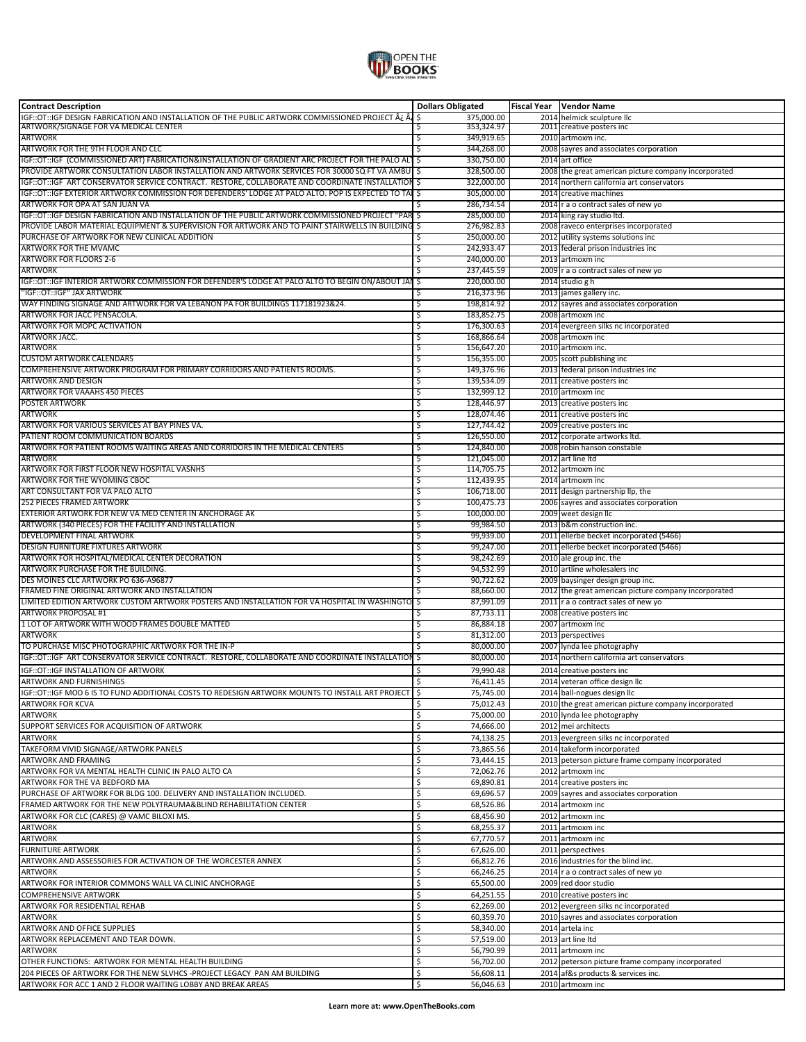

| <b>Contract Description</b>                                                                           | <b>Dollars Obligated</b>             | Fiscal Year   Vendor Name                                                                   |
|-------------------------------------------------------------------------------------------------------|--------------------------------------|---------------------------------------------------------------------------------------------|
| أَمْ يَمْ GT::IGF DESIGN FABRICATION AND INSTALLATION OF THE PUBLIC ARTWORK COMMISSIONED PROJECT ¿    | \$<br>375,000.00                     | 2014 helmick sculpture llc                                                                  |
| ARTWORK/SIGNAGE FOR VA MEDICAL CENTER<br><b>ARTWORK</b>                                               | 353,324.97<br>\$<br>\$<br>349,919.65 | 2011 creative posters inc<br>2010 artmoxm inc.                                              |
| ARTWORK FOR THE 9TH FLOOR AND CLC                                                                     | 344,268.00<br>\$                     | 2008 sayres and associates corporation                                                      |
| IGF::OT::IGF (COMMISSIONED ART) FABRICATION&INSTALLATION OF GRADIENT ARC PROJECT FOR THE PALO ALT     | ॱऽ<br>330,750.00                     | 2014 art office                                                                             |
| PROVIDE ARTWORK CONSULTATION LABOR INSTALLATION AND ARTWORK SERVICES FOR 30000 SQ FT VA AMBU   \$     | 328,500.00                           | 2008 the great american picture company incorporated                                        |
| IGF::OT::IGF ART CONSERVATOR SERVICE CONTRACT. RESTORE, COLLABORATE AND COORDINATE INSTALLATION \$    | 322,000.00                           | 2014 northern california art conservators                                                   |
| IGF::OT::IGF EXTERIOR ARTWORK COMMISSION FOR DEFENDERS' LODGE AT PALO ALTO. POP IS EXPECTED TO TAL \$ | 305,000.00                           | 2014 creative machines                                                                      |
| ARTWORK FOR OPA AT SAN JUAN VA                                                                        | 286,734.54<br>Ś                      | 2014 r a o contract sales of new yo                                                         |
| IGF::OT::IGF DESIGN FABRICATION AND INSTALLATION OF THE PUBLIC ARTWORK COMMISSIONED PROJECT "PAR \$   | 285,000.00                           | 2014 king ray studio ltd.                                                                   |
| PROVIDE LABOR MATERIAL EQUIPMENT & SUPERVISION FOR ARTWORK AND TO PAINT STAIRWELLS IN BUILDING        | \$<br>276,982.83                     | 2008 raveco enterprises incorporated                                                        |
| PURCHASE OF ARTWORK FOR NEW CLINICAL ADDITION<br><b>ARTWORK FOR THE MVAMC</b>                         | 250,000.00<br>\$<br>242,933.47<br>\$ | 2012 utility systems solutions inc                                                          |
| <b>ARTWORK FOR FLOORS 2-6</b>                                                                         | \$<br>240,000.00                     | 2013 federal prison industries inc<br>2013 artmoxm inc                                      |
| <b>ARTWORK</b>                                                                                        | 237,445.59<br>\$                     | 2009 r a o contract sales of new yo                                                         |
| IGF::OT::IGF INTERIOR ARTWORK COMMISSION FOR DEFENDER'S LODGE AT PALO ALTO TO BEGIN ON/ABOUT JAI      | \$,<br>220,000.00                    | 2014 studio g h                                                                             |
| "IGF::OT::IGF" JAX ARTWORK                                                                            | 216,373.96<br>\$                     | 2013 james gallery inc.                                                                     |
| WAY FINDING SIGNAGE AND ARTWORK FOR VA LEBANON PA FOR BUILDINGS 117181923&24.                         | \$<br>198,814.92                     | 2012 sayres and associates corporation                                                      |
| ARTWORK FOR JACC PENSACOLA.                                                                           | \$<br>183,852.75                     | 2008 artmoxm inc                                                                            |
| ARTWORK FOR MOPC ACTIVATION                                                                           | 176,300.63<br>\$                     | 2014 evergreen silks nc incorporated                                                        |
| ARTWORK JACC.                                                                                         | \$<br>168,866.64                     | 2008 artmoxm inc                                                                            |
| <b>ARTWORK</b><br><b>CUSTOM ARTWORK CALENDARS</b>                                                     | 156,647.20<br>\$<br>\$<br>156,355.00 | 2010 artmoxm inc.<br>2005 scott publishing inc                                              |
| COMPREHENSIVE ARTWORK PROGRAM FOR PRIMARY CORRIDORS AND PATIENTS ROOMS.                               | \$<br>149,376.96                     | 2013 federal prison industries inc                                                          |
| <b>ARTWORK AND DESIGN</b>                                                                             | \$<br>139,534.09                     | 2011 creative posters inc                                                                   |
| <b>ARTWORK FOR VAAAHS 450 PIECES</b>                                                                  | \$<br>132,999.12                     | 2010 artmoxm inc                                                                            |
| <b>POSTER ARTWORK</b>                                                                                 | \$<br>128,446.97                     | 2013 creative posters inc                                                                   |
| <b>ARTWORK</b>                                                                                        | \$<br>128.074.46                     | 2011 creative posters inc                                                                   |
| ARTWORK FOR VARIOUS SERVICES AT BAY PINES VA.                                                         | \$<br>127,744.42                     | 2009 creative posters inc                                                                   |
| PATIENT ROOM COMMUNICATION BOARDS                                                                     | 126,550.00<br>\$                     | 2012 corporate artworks ltd.                                                                |
| ARTWORK FOR PATIENT ROOMS WAITING AREAS AND CORRIDORS IN THE MEDICAL CENTERS                          | \$<br>124,840.00                     | 2008 robin hanson constable                                                                 |
| <b>ARTWORK</b>                                                                                        | 121,045.00<br>\$                     | 2012 art line Itd                                                                           |
| ARTWORK FOR FIRST FLOOR NEW HOSPITAL VASNHS<br>ARTWORK FOR THE WYOMING CBOC                           | 114,705.75<br>\$<br>112,439.95<br>\$ | 2012 artmoxm inc<br>2014 artmoxm inc                                                        |
| ART CONSULTANT FOR VA PALO ALTO                                                                       | \$<br>106,718.00                     | 2011 design partnership llp, the                                                            |
| 252 PIECES FRAMED ARTWORK                                                                             | \$<br>100,475.73                     | 2006 sayres and associates corporation                                                      |
| EXTERIOR ARTWORK FOR NEW VA MED CENTER IN ANCHORAGE AK                                                | \$<br>100,000.00                     | 2009 weet design llc                                                                        |
| ARTWORK (340 PIECES) FOR THE FACILITY AND INSTALLATION                                                | \$<br>99,984.50                      | 2013 b&m construction inc.                                                                  |
| DEVELOPMENT FINAL ARTWORK                                                                             | 99,939.00<br>\$                      | 2011 ellerbe becket incorporated (5466)                                                     |
| <b>DESIGN FURNITURE FIXTURES ARTWORK</b>                                                              | \$<br>99,247.00                      | 2011 ellerbe becket incorporated (5466)                                                     |
| ARTWORK FOR HOSPITAL/MEDICAL CENTER DECORATION                                                        | \$<br>98,242.69                      | 2010 ale group inc. the                                                                     |
| ARTWORK PURCHASE FOR THE BUILDING.                                                                    | \$<br>94,532.99                      | 2010 artline wholesalers inc                                                                |
| DES MOINES CLC ARTWORK PO 636-A96877<br>FRAMED FINE ORIGINAL ARTWORK AND INSTALLATION                 | 90,722.62<br>\$<br>88,660.00         | 2009 baysinger design group inc.                                                            |
| LIMITED EDITION ARTWORK CUSTOM ARTWORK POSTERS AND INSTALLATION FOR VA HOSPITAL IN WASHINGTO          | \$<br>\$<br>87,991.09                | 2012 the great american picture company incorporated<br>2011 r a o contract sales of new yo |
| <b>ARTWORK PROPOSAL #1</b>                                                                            | 87,733.11<br>Ś                       | 2008 creative posters inc                                                                   |
| 1 LOT OF ARTWORK WITH WOOD FRAMES DOUBLE MATTED                                                       | 86,884.18<br>\$                      | 2007 artmoxm inc                                                                            |
| <b>ARTWORK</b>                                                                                        | \$<br>81,312.00                      | 2013 perspectives                                                                           |
| TO PURCHASE MISC PHOTOGRAPHIC ARTWORK FOR THE IN-P                                                    | 80,000.00<br>\$                      | 2007 lynda lee photography                                                                  |
| IGF::OT::IGF ART CONSERVATOR SERVICE CONTRACT. RESTORE, COLLABORATE AND COORDINATE INSTALLATION       | \$<br>80,000.00                      | 2014 northern california art conservators                                                   |
| IGF:: OT:: IGF INSTALLATION OF ARTWORK                                                                | Ś<br>79,990.48                       | 2014 creative posters inc                                                                   |
| ARTWORK AND FURNISHINGS                                                                               | Ś<br>76,411.45                       | 2014 veteran office design IIc                                                              |
| IGF::OT::IGF MOD 6 IS TO FUND ADDITIONAL COSTS TO REDESIGN ARTWORK MOUNTS TO INSTALL ART PROJECT      | 75,745.00                            | 2014 ball-nogues design IIc                                                                 |
| <b>ARTWORK FOR KCVA</b>                                                                               | Ś<br>75,012.43                       | 2010 the great american picture company incorporated                                        |
| <b>ARTWORK</b>                                                                                        | \$<br>75,000.00<br>Ś                 | 2010 lynda lee photography                                                                  |
| SUPPORT SERVICES FOR ACQUISITION OF ARTWORK<br><b>ARTWORK</b>                                         | 74,666.00<br>\$<br>74,138.25         | 2012 mei architects<br>2013 evergreen silks nc incorporated                                 |
| TAKEFORM VIVID SIGNAGE/ARTWORK PANELS                                                                 | \$<br>73,865.56                      | 2014 takeform incorporated                                                                  |
| <b>ARTWORK AND FRAMING</b>                                                                            | \$<br>73,444.15                      | 2013 peterson picture frame company incorporated                                            |
| ARTWORK FOR VA MENTAL HEALTH CLINIC IN PALO ALTO CA                                                   | \$<br>72,062.76                      | 2012 artmoxm inc                                                                            |
| ARTWORK FOR THE VA BEDFORD MA                                                                         | \$<br>69,890.81                      | 2014 creative posters inc                                                                   |
| PURCHASE OF ARTWORK FOR BLDG 100. DELIVERY AND INSTALLATION INCLUDED.                                 | \$<br>69,696.57                      | 2009 sayres and associates corporation                                                      |
| FRAMED ARTWORK FOR THE NEW POLYTRAUMA&BLIND REHABILITATION CENTER                                     | \$<br>68,526.86                      | 2014 artmoxm inc                                                                            |
| ARTWORK FOR CLC (CARES) @ VAMC BILOXI MS.                                                             | \$<br>68,456.90                      | 2012 artmoxm inc                                                                            |
| ARTWORK                                                                                               | \$<br>68,255.37                      | 2011 artmoxm inc                                                                            |
| <b>ARTWORK</b>                                                                                        | \$<br>67,770.57                      | 2011 artmoxm inc                                                                            |
| <b>FURNITURE ARTWORK</b>                                                                              | \$<br>67,626.00                      | 2011 perspectives                                                                           |
| ARTWORK AND ASSESSORIES FOR ACTIVATION OF THE WORCESTER ANNEX                                         | \$<br>66,812.76<br>Ś                 | 2016 industries for the blind inc.                                                          |
| <b>ARTWORK</b><br>ARTWORK FOR INTERIOR COMMONS WALL VA CLINIC ANCHORAGE                               | 66,246.25<br>\$<br>65,500.00         | 2014 r a o contract sales of new yo<br>2009 red door studio                                 |
| <b>COMPREHENSIVE ARTWORK</b>                                                                          | \$<br>64,251.55                      | 2010 creative posters inc                                                                   |
| ARTWORK FOR RESIDENTIAL REHAB                                                                         | \$<br>62,269.00                      | 2012 evergreen silks nc incorporated                                                        |
| <b>ARTWORK</b>                                                                                        | Ś<br>60,359.70                       | 2010 sayres and associates corporation                                                      |
| ARTWORK AND OFFICE SUPPLIES                                                                           | \$<br>58,340.00                      | 2014 artela inc                                                                             |
| ARTWORK REPLACEMENT AND TEAR DOWN.                                                                    | Ś<br>57,519.00                       | 2013 art line Itd                                                                           |
| <b>ARTWORK</b>                                                                                        | \$<br>56,790.99                      | 2011 artmoxm inc                                                                            |
| OTHER FUNCTIONS: ARTWORK FOR MENTAL HEALTH BUILDING                                                   | \$<br>56,702.00                      | 2012 peterson picture frame company incorporated                                            |
| 204 PIECES OF ARTWORK FOR THE NEW SLVHCS -PROJECT LEGACY PAN AM BUILDING                              | \$<br>56,608.11                      | 2014 af&s products & services inc.                                                          |
| ARTWORK FOR ACC 1 AND 2 FLOOR WAITING LOBBY AND BREAK AREAS                                           | \$<br>56,046.63                      | 2010 artmoxm inc                                                                            |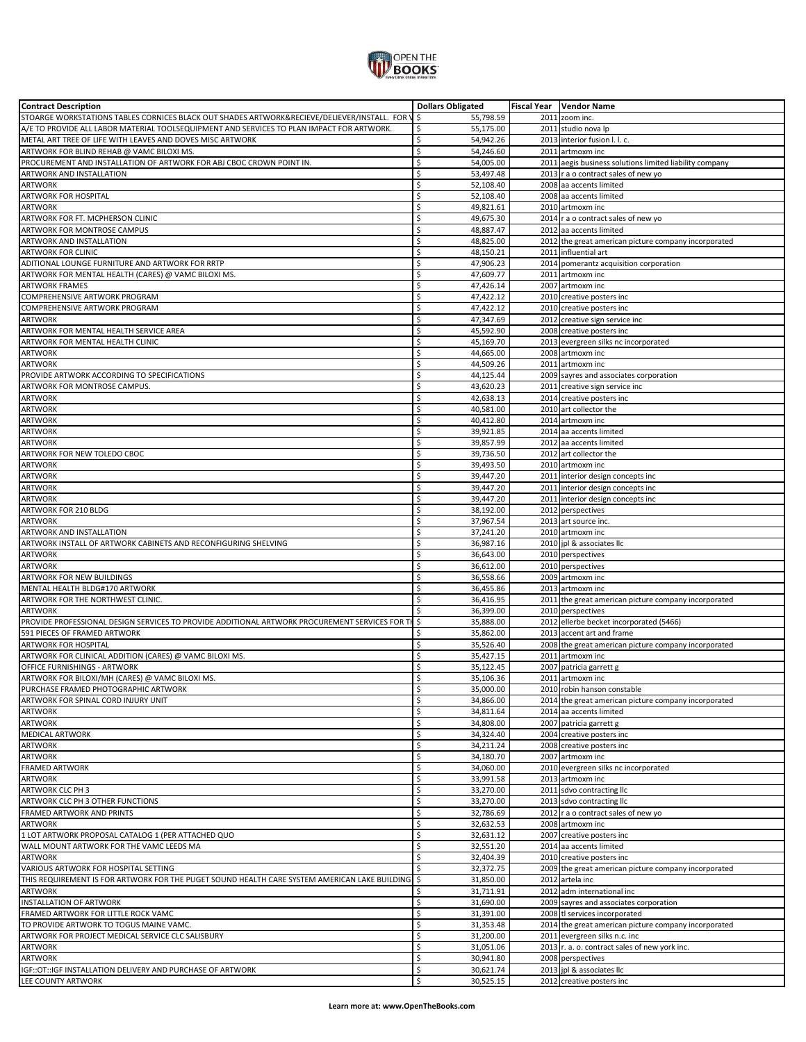

| <b>Contract Description</b>                                                                       | <b>Dollars Obligated</b>           | Fiscal Year   Vendor Name                               |
|---------------------------------------------------------------------------------------------------|------------------------------------|---------------------------------------------------------|
| STOARGE WORKSTATIONS TABLES CORNICES BLACK OUT SHADES ARTWORK&RECIEVE/DELIEVER/INSTALL. FOR \  \$ | 55,798.59                          | 2011 zoom inc.                                          |
| A/E TO PROVIDE ALL LABOR MATERIAL TOOLSEQUIPMENT AND SERVICES TO PLAN IMPACT FOR ARTWORK.         | \$<br>55,175.00                    | 2011 studio nova lp                                     |
| METAL ART TREE OF LIFE WITH LEAVES AND DOVES MISC ARTWORK                                         | \$<br>54,942.26                    | 2013 interior fusion I. I. c.                           |
|                                                                                                   | \$<br>54,246.60                    | 2011 artmoxm inc                                        |
| ARTWORK FOR BLIND REHAB @ VAMC BILOXI MS.                                                         |                                    |                                                         |
| PROCUREMENT AND INSTALLATION OF ARTWORK FOR ABJ CBOC CROWN POINT IN.                              | \$<br>54,005.00                    | 2011 aegis business solutions limited liability company |
| ARTWORK AND INSTALLATION                                                                          | \$<br>53,497.48                    | 2013 r a o contract sales of new yo                     |
| <b>ARTWORK</b>                                                                                    | Ś<br>52.108.40                     | 2008 aa accents limited                                 |
| ARTWORK FOR HOSPITAL                                                                              | Ś<br>52,108.40                     | 2008 aa accents limited                                 |
| <b>ARTWORK</b>                                                                                    | \$<br>49,821.61                    | 2010 artmoxm inc                                        |
| ARTWORK FOR FT. MCPHERSON CLINIC                                                                  | \$<br>49,675.30                    | 2014 r a o contract sales of new yo                     |
|                                                                                                   |                                    |                                                         |
| ARTWORK FOR MONTROSE CAMPUS                                                                       | \$<br>48,887.47                    | 2012 aa accents limited                                 |
| ARTWORK AND INSTALLATION                                                                          | \$<br>48,825.00                    | 2012 the great american picture company incorporated    |
| <b>ARTWORK FOR CLINIC</b>                                                                         | \$<br>48,150.21                    | 2011 influential art                                    |
| ADITIONAL LOUNGE FURNITURE AND ARTWORK FOR RRTP                                                   | \$<br>47,906.23                    | 2014 pomerantz acquisition corporation                  |
| ARTWORK FOR MENTAL HEALTH (CARES) @ VAMC BILOXI MS.                                               | \$<br>47,609.77                    | 2011 artmoxm inc                                        |
| <b>ARTWORK FRAMES</b>                                                                             | \$<br>47,426.14                    | 2007 artmoxm inc                                        |
|                                                                                                   |                                    |                                                         |
| COMPREHENSIVE ARTWORK PROGRAM                                                                     | \$<br>47,422.12                    | 2010 creative posters inc                               |
| COMPREHENSIVE ARTWORK PROGRAM                                                                     | \$<br>47,422.12                    | 2010 creative posters inc                               |
| <b>ARTWORK</b>                                                                                    | \$<br>47,347.69                    | 2012 creative sign service inc                          |
| ARTWORK FOR MENTAL HEALTH SERVICE AREA                                                            | Ś<br>45,592.90                     | 2008 creative posters inc                               |
| ARTWORK FOR MENTAL HEALTH CLINIC                                                                  | \$<br>45,169.70                    | 2013 evergreen silks nc incorporated                    |
| ARTWORK                                                                                           | \$<br>44,665.00                    | 2008 artmoxm inc                                        |
|                                                                                                   | Ś                                  | 2011 artmoxm inc                                        |
| <b>ARTWORK</b>                                                                                    | 44,509.26                          |                                                         |
| PROVIDE ARTWORK ACCORDING TO SPECIFICATIONS                                                       | \$<br>44,125.44                    | 2009 sayres and associates corporation                  |
| ARTWORK FOR MONTROSE CAMPUS.                                                                      | \$<br>43,620.23                    | 2011 creative sign service inc                          |
| <b>ARTWORK</b>                                                                                    | Ś<br>42,638.13                     | 2014 creative posters inc                               |
| <b>ARTWORK</b>                                                                                    | Ś<br>40,581.00                     | 2010 art collector the                                  |
| <b>ARTWORK</b>                                                                                    | \$<br>40,412.80                    | 2014 artmoxm inc                                        |
|                                                                                                   |                                    |                                                         |
| <b>ARTWORK</b>                                                                                    | \$<br>39,921.85                    | 2014 aa accents limited                                 |
| ARTWORK                                                                                           | \$<br>39,857.99                    | 2012 aa accents limited                                 |
| ARTWORK FOR NEW TOLEDO CBOC                                                                       | \$<br>39,736.50                    | 2012 art collector the                                  |
| <b>ARTWORK</b>                                                                                    | \$<br>39,493.50                    | 2010 artmoxm inc                                        |
| <b>ARTWORK</b>                                                                                    | Ś<br>39,447.20                     | 2011 interior design concepts inc                       |
| <b>ARTWORK</b>                                                                                    | Ś<br>39,447.20                     | 2011 interior design concepts inc                       |
|                                                                                                   |                                    |                                                         |
| <b>ARTWORK</b>                                                                                    | \$<br>39,447.20                    | 2011 interior design concepts inc                       |
| ARTWORK FOR 210 BLDG                                                                              | \$<br>38,192.00                    | 2012 perspectives                                       |
| <b>ARTWORK</b>                                                                                    | \$<br>37,967.54                    | 2013 art source inc.                                    |
| ARTWORK AND INSTALLATION                                                                          | \$<br>37,241.20                    | 2010 artmoxm inc                                        |
| ARTWORK INSTALL OF ARTWORK CABINETS AND RECONFIGURING SHELVING                                    | \$<br>36,987.16                    | 2010 jpl & associates llc                               |
| <b>ARTWORK</b>                                                                                    | \$<br>36,643.00                    | 2010 perspectives                                       |
|                                                                                                   |                                    |                                                         |
| <b>ARTWORK</b>                                                                                    | \$<br>36,612.00                    | 2010 perspectives                                       |
| <b>ARTWORK FOR NEW BUILDINGS</b>                                                                  | Ś<br>36,558.66                     | 2009 artmoxm inc                                        |
| MENTAL HEALTH BLDG#170 ARTWORK                                                                    | \$<br>36,455.86                    | 2013 artmoxm inc                                        |
| ARTWORK FOR THE NORTHWEST CLINIC.                                                                 | \$<br>36,416.95                    | 2011 the great american picture company incorporated    |
| <b>ARTWORK</b>                                                                                    | Ś<br>36.399.00                     | 2010 perspectives                                       |
| PROVIDE PROFESSIONAL DESIGN SERVICES TO PROVIDE ADDITIONAL ARTWORK PROCUREMENT SERVICES FOR TH    | \$<br>35,888.00                    | 2012 ellerbe becket incorporated (5466)                 |
|                                                                                                   |                                    |                                                         |
| 591 PIECES OF FRAMED ARTWORK                                                                      | \$<br>35,862.00                    | 2013 accent art and frame                               |
| <b>ARTWORK FOR HOSPITAL</b>                                                                       |                                    |                                                         |
|                                                                                                   | \$<br>35,526.40                    | 2008 the great american picture company incorporated    |
| ARTWORK FOR CLINICAL ADDITION (CARES) @ VAMC BILOXI MS.                                           | \$<br>35,427.15                    | 2011 artmoxm inc                                        |
| OFFICE FURNISHINGS - ARTWORK                                                                      | \$<br>35,122.45                    | 2007 patricia garrett g                                 |
| ARTWORK FOR BILOXI/MH (CARES) @ VAMC BILOXI MS.                                                   | Ś<br>35,106.36                     | 2011 artmoxm inc                                        |
|                                                                                                   |                                    |                                                         |
|                                                                                                   | Ś<br>35.000.00                     | 2010 robin hanson constable                             |
| ARTWORK FOR SPINAL CORD INJURY UNIT                                                               | \$<br>34,866.00                    | 2014 the great american picture company incorporated    |
| <b>ARTWORK</b>                                                                                    | \$<br>34,811.64                    | 2014 aa accents limited                                 |
| <b>ARTWORK</b>                                                                                    | \$<br>34,808.00                    | 2007 patricia garrett g                                 |
| <b>MEDICAL ARTWORK</b>                                                                            | \$<br>34,324.40                    | 2004 creative posters inc                               |
|                                                                                                   |                                    |                                                         |
| <b>ARTWORK</b>                                                                                    | \$<br>34,211.24                    | 2008 creative posters inc                               |
| PURCHASE FRAMED PHOTOGRAPHIC ARTWORK<br><b>ARTWORK</b>                                            | \$<br>34,180.70                    | 2007 artmoxm inc                                        |
| <b>FRAMED ARTWORK</b>                                                                             | \$<br>34,060.00                    | 2010 evergreen silks nc incorporated                    |
| <b>ARTWORK</b>                                                                                    | \$<br>33,991.58                    | 2013 artmoxm inc                                        |
| ARTWORK CLC PH 3                                                                                  | \$<br>33,270.00                    | 2011 sdvo contracting llc                               |
| ARTWORK CLC PH 3 OTHER FUNCTIONS                                                                  | \$<br>33,270.00                    | 2013 sdvo contracting llc                               |
| FRAMED ARTWORK AND PRINTS                                                                         | \$<br>32,786.69                    |                                                         |
|                                                                                                   |                                    | 2012 r a o contract sales of new yo                     |
| <b>ARTWORK</b>                                                                                    | \$<br>32,632.53                    | 2008 artmoxm inc                                        |
| 1 LOT ARTWORK PROPOSAL CATALOG 1 (PER ATTACHED QUO                                                | \$<br>32,631.12                    | 2007 creative posters inc                               |
| WALL MOUNT ARTWORK FOR THE VAMC LEEDS MA                                                          | \$<br>32,551.20                    | 2014 aa accents limited                                 |
| <b>ARTWORK</b>                                                                                    | \$<br>32,404.39                    | 2010 creative posters inc                               |
| VARIOUS ARTWORK FOR HOSPITAL SETTING                                                              | \$<br>32,372.75                    | 2009 the great american picture company incorporated    |
| THIS REQUIREMENT IS FOR ARTWORK FOR THE PUGET SOUND HEALTH CARE SYSTEM AMERICAN LAKE BUILDING     | \$<br>31,850.00                    | 2012 artela inc                                         |
|                                                                                                   |                                    |                                                         |
| <b>ARTWORK</b>                                                                                    | \$<br>31,711.91                    | 2012 adm international inc                              |
| <b>INSTALLATION OF ARTWORK</b>                                                                    | \$<br>31,690.00                    | 2009 sayres and associates corporation                  |
| FRAMED ARTWORK FOR LITTLE ROCK VAMC                                                               | \$<br>31,391.00                    | 2008 tl services incorporated                           |
| TO PROVIDE ARTWORK TO TOGUS MAINE VAMC.                                                           | \$<br>31,353.48                    | 2014 the great american picture company incorporated    |
| ARTWORK FOR PROJECT MEDICAL SERVICE CLC SALISBURY                                                 | \$<br>31,200.00                    | 2011 evergreen silks n.c. inc                           |
|                                                                                                   |                                    |                                                         |
| <b>ARTWORK</b>                                                                                    | \$<br>31,051.06                    | 2013 r. a. o. contract sales of new york inc.           |
| <b>ARTWORK</b>                                                                                    | \$<br>30,941.80                    | 2008 perspectives                                       |
| IGF::OT::IGF INSTALLATION DELIVERY AND PURCHASE OF ARTWORK<br>LEE COUNTY ARTWORK                  | \$<br>30,621.74<br>\$<br>30,525.15 | 2013 jpl & associates llc<br>2012 creative posters inc  |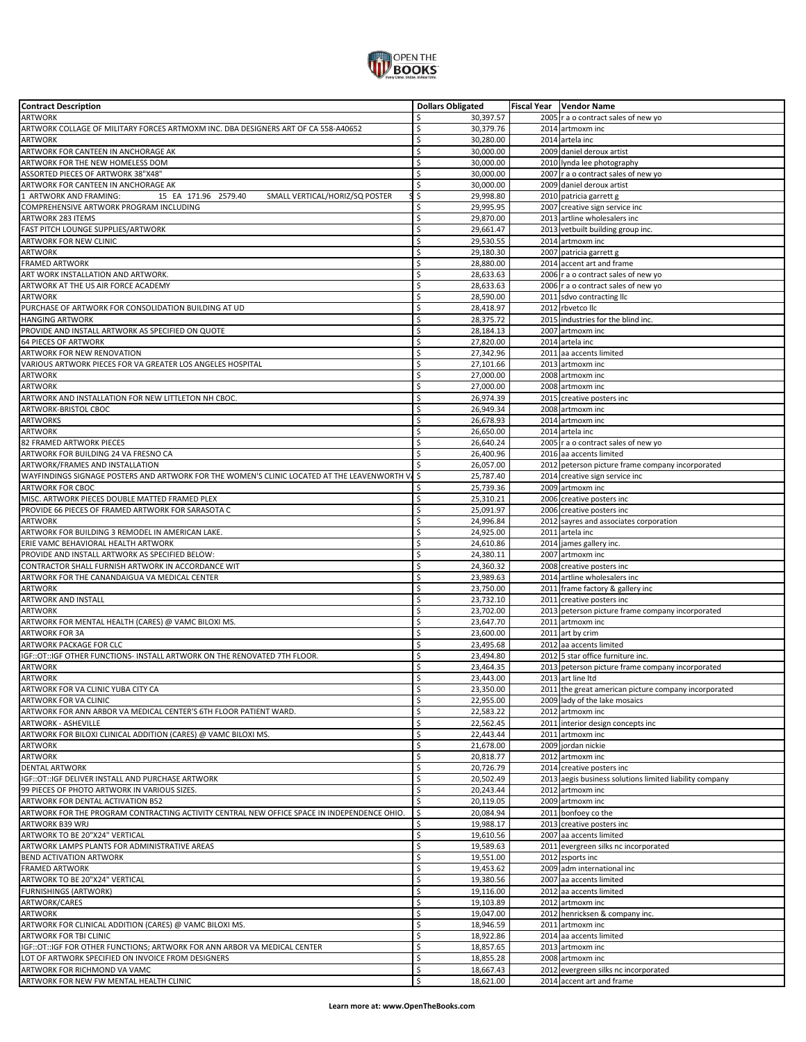

| <b>Contract Description</b>                                                                  |          | <b>Dollars Obligated</b> | Fiscal Year   Vendor Name                                            |
|----------------------------------------------------------------------------------------------|----------|--------------------------|----------------------------------------------------------------------|
| <b>ARTWORK</b>                                                                               | \$       | 30,397.57                | 2005   r a o contract sales of new yo                                |
| ARTWORK COLLAGE OF MILITARY FORCES ARTMOXM INC. DBA DESIGNERS ART OF CA 558-A40652           | \$       | 30,379.76                | 2014 artmoxm inc                                                     |
| <b>ARTWORK</b>                                                                               | \$       | 30,280.00                | 2014 artela inc                                                      |
| ARTWORK FOR CANTEEN IN ANCHORAGE AK                                                          | \$       | 30,000.00                | 2009 daniel deroux artist                                            |
| ARTWORK FOR THE NEW HOMELESS DOM                                                             | \$       | 30,000.00                | 2010 lynda lee photography                                           |
| ASSORTED PIECES OF ARTWORK 38"X48"                                                           | \$       | 30,000.00                | 2007 r a o contract sales of new yo                                  |
| ARTWORK FOR CANTEEN IN ANCHORAGE AK                                                          | \$       | 30,000.00                | 2009 daniel deroux artist                                            |
| ARTWORK AND FRAMING:<br>15 EA 171.96 2579.40<br>SMALL VERTICAL/HORIZ/SQ POSTER               | \$       | 29,998.80                | 2010 patricia garrett g                                              |
| COMPREHENSIVE ARTWORK PROGRAM INCLUDING                                                      | \$       | 29,995.95                | 2007 creative sign service inc                                       |
| ARTWORK 283 ITEMS                                                                            | \$       | 29,870.00                | 2013 artline wholesalers inc                                         |
| FAST PITCH LOUNGE SUPPLIES/ARTWORK                                                           | \$       | 29,661.47                | 2013 vetbuilt building group inc.                                    |
| ARTWORK FOR NEW CLINIC                                                                       | \$       | 29,530.55                | 2014 artmoxm inc                                                     |
| ARTWORK                                                                                      | \$       | 29,180.30                | 2007 patricia garrett g                                              |
| <b>FRAMED ARTWORK</b>                                                                        | \$       | 28,880.00                | 2014 accent art and frame                                            |
| ART WORK INSTALLATION AND ARTWORK.                                                           | \$       | 28,633.63                | 2006 r a o contract sales of new yo                                  |
| ARTWORK AT THE US AIR FORCE ACADEMY                                                          | \$       | 28,633.63                | 2006 r a o contract sales of new yo                                  |
| <b>ARTWORK</b>                                                                               | \$       | 28,590.00                | 2011 sdvo contracting llc                                            |
| PURCHASE OF ARTWORK FOR CONSOLIDATION BUILDING AT UD                                         | \$       | 28,418.97                | 2012 rbvetco llc                                                     |
| <b>HANGING ARTWORK</b>                                                                       | \$       | 28,375.72                | 2015 industries for the blind inc.                                   |
| PROVIDE AND INSTALL ARTWORK AS SPECIFIED ON QUOTE                                            | \$       | 28,184.13                | 2007 artmoxm inc                                                     |
| 64 PIECES OF ARTWORK                                                                         | \$       | 27,820.00                | 2014 artela inc                                                      |
| ARTWORK FOR NEW RENOVATION                                                                   | \$       | 27,342.96                | 2011 aa accents limited                                              |
| VARIOUS ARTWORK PIECES FOR VA GREATER LOS ANGELES HOSPITAL                                   | \$       | 27,101.66                | 2013 artmoxm inc                                                     |
| <b>ARTWORK</b>                                                                               | \$       | 27,000.00                | 2008 artmoxm inc                                                     |
| ARTWORK                                                                                      | \$       | 27,000.00                | 2008 artmoxm inc                                                     |
| ARTWORK AND INSTALLATION FOR NEW LITTLETON NH CBOC.                                          | \$       | 26,974.39                | 2015 creative posters inc                                            |
| ARTWORK-BRISTOL CBOC                                                                         | \$       | 26,949.34                | 2008 artmoxm inc                                                     |
| <b>ARTWORKS</b>                                                                              | \$       | 26,678.93                | 2014 artmoxm inc                                                     |
| ARTWORK                                                                                      | \$       | 26,650.00                | 2014 artela inc                                                      |
| 82 FRAMED ARTWORK PIECES                                                                     | \$       | 26,640.24                | 2005 r a o contract sales of new yo                                  |
| ARTWORK FOR BUILDING 24 VA FRESNO CA                                                         | \$       | 26,400.96                | 2016 aa accents limited                                              |
| ARTWORK/FRAMES AND INSTALLATION                                                              | \$       | 26,057.00                | 2012 peterson picture frame company incorporated                     |
| WAYFINDINGS SIGNAGE POSTERS AND ARTWORK FOR THE WOMEN'S CLINIC LOCATED AT THE LEAVENWORTH V. | \$       | 25,787.40                | 2014 creative sign service inc                                       |
| <b>ARTWORK FOR CBOC</b>                                                                      | \$       | 25,739.36                | 2009 artmoxm inc                                                     |
| MISC. ARTWORK PIECES DOUBLE MATTED FRAMED PLEX                                               | \$       | 25,310.21                | 2006 creative posters inc                                            |
| PROVIDE 66 PIECES OF FRAMED ARTWORK FOR SARASOTA C                                           | \$       | 25,091.97                | 2006 creative posters inc                                            |
| <b>ARTWORK</b>                                                                               | \$       | 24,996.84                | 2012 sayres and associates corporation                               |
| ARTWORK FOR BUILDING 3 REMODEL IN AMERICAN LAKE.                                             | \$       | 24,925.00                | 2011 artela inc                                                      |
| ERIE VAMC BEHAVIORAL HEALTH ARTWORK                                                          | \$       | 24,610.86                | 2014 james gallery inc.                                              |
| PROVIDE AND INSTALL ARTWORK AS SPECIFIED BELOW:                                              | \$       | 24,380.11                | 2007 artmoxm inc                                                     |
| CONTRACTOR SHALL FURNISH ARTWORK IN ACCORDANCE WIT                                           | \$       | 24,360.32                | 2008 creative posters inc                                            |
| ARTWORK FOR THE CANANDAIGUA VA MEDICAL CENTER                                                | \$       | 23,989.63                | 2014 artline wholesalers inc                                         |
| <b>ARTWORK</b>                                                                               | \$       | 23,750.00                | 2011 frame factory & gallery inc                                     |
| ARTWORK AND INSTALL                                                                          | \$       | 23,732.10                | 2011 creative posters inc                                            |
| ARTWORK<br>ARTWORK FOR MENTAL HEALTH (CARES) @ VAMC BILOXI MS.                               | \$<br>\$ | 23,702.00<br>23,647.70   | 2013 peterson picture frame company incorporated<br>2011 artmoxm inc |
| <b>ARTWORK FOR 3A</b>                                                                        | \$       | 23,600.00                | 2011 art by crim                                                     |
| ARTWORK PACKAGE FOR CLC                                                                      | \$       | 23,495.68                | 2012 aa accents limited                                              |
| IGF::OT::IGF OTHER FUNCTIONS- INSTALL ARTWORK ON THE RENOVATED 7TH FLOOR.                    | \$       | 23,494.80                | 2012 5 star office furniture inc.                                    |
| ARTWORK                                                                                      | \$       | 23,464.35                | 2013 peterson picture frame company incorporated                     |
| <b>ARTWORK</b>                                                                               | \$       | 23,443.00                | 2013 art line Itd                                                    |
| ARTWORK FOR VA CLINIC YUBA CITY CA                                                           | Ś        | 23,350.00                | 2011 the great american picture company incorporated                 |
| ARTWORK FOR VA CLINIC                                                                        | \$       | 22,955.00                | 2009 lady of the lake mosaics                                        |
| ARTWORK FOR ANN ARBOR VA MEDICAL CENTER'S 6TH FLOOR PATIENT WARD.                            | \$       | 22,583.22                | 2012 artmoxm inc                                                     |
| <b>ARTWORK - ASHEVILLE</b>                                                                   | \$       | 22,562.45                | 2011 interior design concepts inc                                    |
| ARTWORK FOR BILOXI CLINICAL ADDITION (CARES) @ VAMC BILOXI MS.                               | \$       | 22,443.44                | 2011 artmoxm inc                                                     |
| <b>ARTWORK</b>                                                                               | \$       | 21,678.00                | 2009 jordan nickie                                                   |
| ARTWORK                                                                                      | \$       | 20,818.77                | 2012 artmoxm inc                                                     |
| <b>DENTAL ARTWORK</b>                                                                        | \$       | 20,726.79                | 2014 creative posters inc                                            |
| IGF:: OT:: IGF DELIVER INSTALL AND PURCHASE ARTWORK                                          | \$       | 20,502.49                | 2013 aegis business solutions limited liability company              |
| 99 PIECES OF PHOTO ARTWORK IN VARIOUS SIZES.                                                 | \$       | 20,243.44                | 2012 artmoxm inc                                                     |
| ARTWORK FOR DENTAL ACTIVATION B52                                                            | \$       | 20,119.05                | 2009 artmoxm inc                                                     |
| ARTWORK FOR THE PROGRAM CONTRACTING ACTIVITY CENTRAL NEW OFFICE SPACE IN INDEPENDENCE OHIO.  | \$       | 20,084.94                | 2011 bonfoey co the                                                  |
| ARTWORK B39 WRJ                                                                              | \$       | 19,988.17                | 2013 creative posters inc                                            |
| ARTWORK TO BE 20"X24" VERTICAL                                                               | \$       | 19,610.56                | 2007 aa accents limited                                              |
| ARTWORK LAMPS PLANTS FOR ADMINISTRATIVE AREAS                                                | \$       | 19,589.63                | 2011 evergreen silks nc incorporated                                 |
| BEND ACTIVATION ARTWORK                                                                      | \$       | 19,551.00                | 2012 zsports inc                                                     |
| <b>FRAMED ARTWORK</b>                                                                        | \$       | 19,453.62                | 2009 adm international inc                                           |
| ARTWORK TO BE 20"X24" VERTICAL                                                               | \$       | 19,380.56                | 2007 aa accents limited                                              |
| <b>FURNISHINGS (ARTWORK)</b>                                                                 | \$       | 19,116.00                | 2012 aa accents limited                                              |
| ARTWORK/CARES                                                                                | \$       | 19,103.89                | 2012 artmoxm inc                                                     |
| <b>ARTWORK</b>                                                                               | \$       | 19,047.00                | 2012 henricksen & company inc.                                       |
| ARTWORK FOR CLINICAL ADDITION (CARES) @ VAMC BILOXI MS.                                      | \$       | 18,946.59                | 2011 artmoxm inc                                                     |
| ARTWORK FOR TBI CLINIC                                                                       | \$       | 18,922.86                | 2014 aa accents limited                                              |
| IGF::OT::IGF FOR OTHER FUNCTIONS; ARTWORK FOR ANN ARBOR VA MEDICAL CENTER                    | \$       | 18,857.65                | 2013 artmoxm inc                                                     |
| LOT OF ARTWORK SPECIFIED ON INVOICE FROM DESIGNERS                                           | \$       | 18,855.28                | 2008 artmoxm inc                                                     |
| ARTWORK FOR RICHMOND VA VAMC<br>ARTWORK FOR NEW FW MENTAL HEALTH CLINIC                      | \$<br>\$ | 18,667.43<br>18,621.00   | 2012 evergreen silks nc incorporated<br>2014 accent art and frame    |
|                                                                                              |          |                          |                                                                      |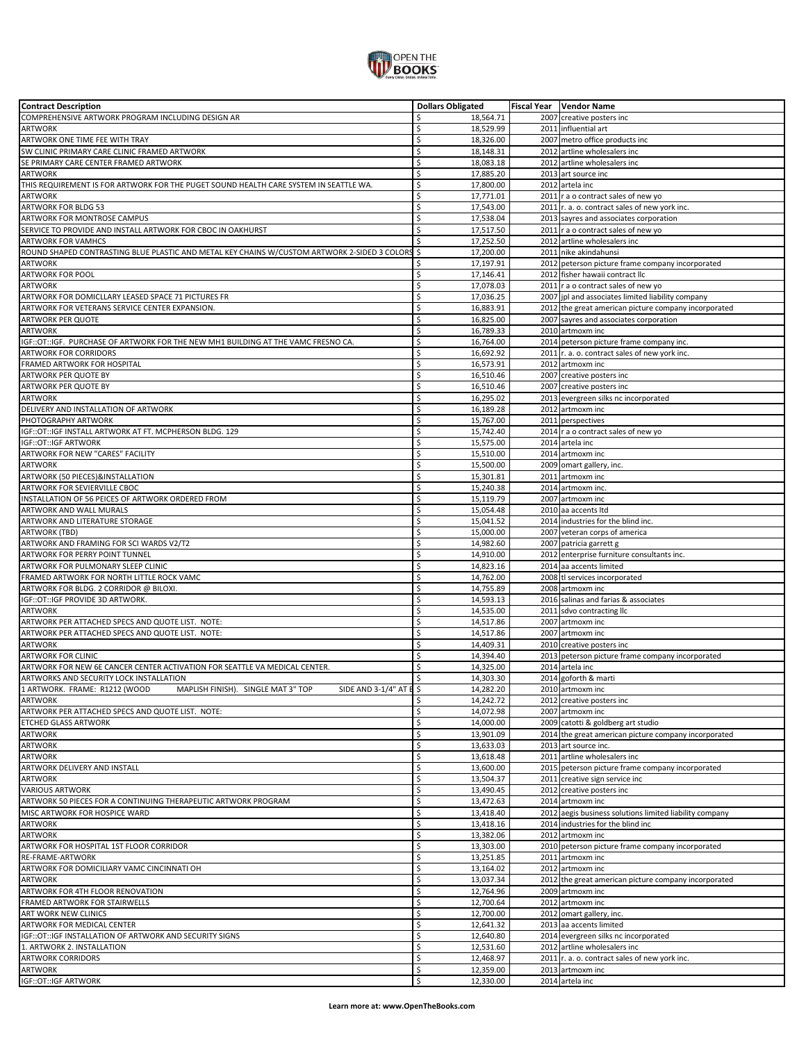

| <b>Contract Description</b>                                                                    | <b>Dollars Obligated</b> | Fiscal Year   Vendor Name                               |
|------------------------------------------------------------------------------------------------|--------------------------|---------------------------------------------------------|
| COMPREHENSIVE ARTWORK PROGRAM INCLUDING DESIGN AR                                              | \$<br>18,564.71          | 2007 creative posters inc                               |
| <b>ARTWORK</b>                                                                                 | \$<br>18,529.99          | 2011 influential art                                    |
| ARTWORK ONE TIME FEE WITH TRAY                                                                 | \$<br>18,326.00          | 2007 metro office products inc                          |
| SW CLINIC PRIMARY CARE CLINIC FRAMED ARTWORK                                                   | \$<br>18,148.31          | 2012 artline wholesalers inc                            |
|                                                                                                |                          |                                                         |
| SE PRIMARY CARE CENTER FRAMED ARTWORK                                                          | \$<br>18,083.18          | 2012 artline wholesalers inc                            |
| ARTWORK                                                                                        | \$<br>17,885.20          | 2013 art source inc                                     |
| THIS REQUIREMENT IS FOR ARTWORK FOR THE PUGET SOUND HEALTH CARE SYSTEM IN SEATTLE WA.          | Ś<br>17,800.00           | 2012 artela inc                                         |
| <b>ARTWORK</b>                                                                                 | \$<br>17,771.01          | 2011 r a o contract sales of new yo                     |
| ARTWORK FOR BLDG 53                                                                            | \$<br>17,543.00          | $2011$ r. a. o. contract sales of new york inc.         |
| ARTWORK FOR MONTROSE CAMPUS                                                                    | \$<br>17,538.04          | 2013 sayres and associates corporation                  |
| SERVICE TO PROVIDE AND INSTALL ARTWORK FOR CBOC IN OAKHURST                                    | \$<br>17,517.50          | 2011 r a o contract sales of new yo                     |
| <b>ARTWORK FOR VAMHCS</b>                                                                      | Ś<br>17,252.50           | 2012 artline wholesalers inc                            |
|                                                                                                |                          |                                                         |
| ROUND SHAPED CONTRASTING BLUE PLASTIC AND METAL KEY CHAINS W/CUSTOM ARTWORK 2-SIDED 3 COLORS   | \$<br>17,200.00          | 2011 nike akindahunsi                                   |
| <b>ARTWORK</b>                                                                                 | \$<br>17,197.91          | 2012 peterson picture frame company incorporated        |
| <b>ARTWORK FOR POOL</b>                                                                        | \$<br>17,146.41          | 2012 fisher hawaii contract llc                         |
| <b>ARTWORK</b>                                                                                 | \$<br>17,078.03          | 2011 r a o contract sales of new yo                     |
| ARTWORK FOR DOMICLLARY LEASED SPACE 71 PICTURES FR                                             | \$<br>17,036.25          | 2007 jpl and associates limited liability company       |
| ARTWORK FOR VETERANS SERVICE CENTER EXPANSION.                                                 | \$<br>16,883.91          | 2012 the great american picture company incorporated    |
| ARTWORK PER QUOTE                                                                              | \$<br>16,825.00          | 2007 sayres and associates corporation                  |
| <b>ARTWORK</b>                                                                                 | \$<br>16,789.33          | 2010 artmoxm inc                                        |
|                                                                                                |                          |                                                         |
| IGF::OT::IGF. PURCHASE OF ARTWORK FOR THE NEW MH1 BUILDING AT THE VAMC FRESNO CA.              | \$<br>16,764.00          | 2014 peterson picture frame company inc.                |
| <b>ARTWORK FOR CORRIDORS</b>                                                                   | \$<br>16,692.92          | 2011 r. a. o. contract sales of new york inc.           |
| FRAMED ARTWORK FOR HOSPITAL                                                                    | \$<br>16,573.91          | 2012 artmoxm inc                                        |
| ARTWORK PER QUOTE BY                                                                           | \$<br>16,510.46          | 2007 creative posters inc                               |
| ARTWORK PER QUOTE BY                                                                           | \$<br>16,510.46          | 2007 creative posters inc                               |
| <b>ARTWORK</b>                                                                                 | \$<br>16,295.02          | 2013 evergreen silks nc incorporated                    |
| DELIVERY AND INSTALLATION OF ARTWORK                                                           | \$<br>16,189.28          | 2012 artmoxm inc                                        |
| PHOTOGRAPHY ARTWORK                                                                            | \$<br>15,767.00          | 2011 perspectives                                       |
|                                                                                                |                          |                                                         |
| IGF::OT::IGF INSTALL ARTWORK AT FT. MCPHERSON BLDG. 129                                        | \$<br>15,742.40          | 2014 r a o contract sales of new yo                     |
| IGF::OT::IGF ARTWORK                                                                           | \$<br>15,575.00          | 2014 artela inc                                         |
| ARTWORK FOR NEW "CARES" FACILITY                                                               | \$<br>15,510.00          | 2014 artmoxm inc                                        |
| ARTWORK                                                                                        | \$<br>15,500.00          | 2009 omart gallery, inc.                                |
| ARTWORK (50 PIECES) & INSTALLATION                                                             | \$<br>15,301.81          | 2011 artmoxm inc                                        |
| ARTWORK FOR SEVIERVILLE CBOC                                                                   | \$<br>15,240.38          | 2014 artmoxm inc.                                       |
| INSTALLATION OF 56 PEICES OF ARTWORK ORDERED FROM                                              | \$<br>15,119.79          | 2007 artmoxm inc                                        |
| ARTWORK AND WALL MURALS                                                                        | \$<br>15,054.48          | 2010 aa accents Itd                                     |
|                                                                                                |                          |                                                         |
| ARTWORK AND LITERATURE STORAGE                                                                 | \$<br>15,041.52          | 2014 industries for the blind inc.                      |
| <b>ARTWORK (TBD)</b>                                                                           | \$<br>15,000.00          | 2007 veteran corps of america                           |
| ARTWORK AND FRAMING FOR SCI WARDS V2/T2                                                        | \$<br>14,982.60          | 2007 patricia garrett g                                 |
| ARTWORK FOR PERRY POINT TUNNEL                                                                 | \$<br>14,910.00          | 2012 enterprise furniture consultants inc.              |
| ARTWORK FOR PULMONARY SLEEP CLINIC                                                             | \$<br>14,823.16          | 2014 aa accents limited                                 |
| FRAMED ARTWORK FOR NORTH LITTLE ROCK VAMC                                                      | Ś<br>14,762.00           | 2008 tl services incorporated                           |
| ARTWORK FOR BLDG. 2 CORRIDOR @ BILOXI.                                                         | \$<br>14,755.89          | 2008 artmoxm inc                                        |
|                                                                                                | \$                       |                                                         |
| IGF:: OT:: IGF PROVIDE 3D ARTWORK.                                                             | 14,593.13                | 2016 salinas and farias & associates                    |
| <b>ARTWORK</b>                                                                                 | Ś<br>14,535.00           | 2011 sdvo contracting llc                               |
| ARTWORK PER ATTACHED SPECS AND QUOTE LIST. NOTE:                                               | \$<br>14,517.86          | 2007 artmoxm inc                                        |
| ARTWORK PER ATTACHED SPECS AND QUOTE LIST. NOTE:                                               | \$<br>14,517.86          | 2007 artmoxm inc                                        |
| <b>ARTWORK</b>                                                                                 | \$<br>14,409.31          | 2010 creative posters inc                               |
| <b>ARTWORK FOR CLINIC</b>                                                                      | \$<br>14,394.40          | 2013 peterson picture frame company incorporated        |
| ARTWORK FOR NEW 6E CANCER CENTER ACTIVATION FOR SEATTLE VA MEDICAL CENTER.                     | 14,325.00                | 2014 artela inc                                         |
| ARTWORKS AND SECURITY LOCK INSTALLATION                                                        | Ś<br>14,303.30           | 2014 goforth & marti                                    |
| MAPLISH FINISH). SINGLE MAT 3" TOP<br>SIDE AND 3-1/4" AT E \$<br>1 ARTWORK. FRAME: R1212 (WOOD | 14.282.20                | 2010 artmoxm inc                                        |
|                                                                                                |                          |                                                         |
| <b>ARTWORK</b>                                                                                 | \$<br>14,242.72          | 2012 creative posters inc                               |
| ARTWORK PER ATTACHED SPECS AND QUOTE LIST. NOTE:                                               | \$<br>14,072.98          | 2007 artmoxm inc                                        |
| ETCHED GLASS ARTWORK                                                                           | \$<br>14,000.00          | 2009 catotti & goldberg art studio                      |
| ARTWORK                                                                                        | \$<br>13,901.09          | 2014 the great american picture company incorporated    |
| <b>ARTWORK</b>                                                                                 | \$<br>13,633.03          | 2013 art source inc.                                    |
| <b>ARTWORK</b>                                                                                 | \$<br>13,618.48          | 2011 artline wholesalers inc                            |
| ARTWORK DELIVERY AND INSTALL                                                                   | \$<br>13,600.00          | 2015 peterson picture frame company incorporated        |
| <b>ARTWORK</b>                                                                                 | \$<br>13,504.37          | 2011 creative sign service inc                          |
| <b>VARIOUS ARTWORK</b>                                                                         | \$<br>13,490.45          | 2012 creative posters inc                               |
|                                                                                                |                          |                                                         |
| ARTWORK 50 PIECES FOR A CONTINUING THERAPEUTIC ARTWORK PROGRAM                                 | \$<br>13,472.63          | 2014 artmoxm inc                                        |
| MISC ARTWORK FOR HOSPICE WARD                                                                  | \$<br>13,418.40          | 2012 aegis business solutions limited liability company |
| ARTWORK                                                                                        | \$<br>13,418.16          | 2014 industries for the blind inc                       |
| <b>ARTWORK</b>                                                                                 | \$<br>13,382.06          | 2012 artmoxm inc                                        |
| ARTWORK FOR HOSPITAL 1ST FLOOR CORRIDOR                                                        | \$<br>13,303.00          | 2010 peterson picture frame company incorporated        |
| RE-FRAME-ARTWORK                                                                               | \$<br>13,251.85          | 2011 artmoxm inc                                        |
| ARTWORK FOR DOMICILIARY VAMC CINCINNATI OH                                                     | \$<br>13,164.02          | 2012 artmoxm inc                                        |
| ARTWORK                                                                                        | \$<br>13,037.34          | 2012 the great american picture company incorporated    |
|                                                                                                | \$                       |                                                         |
| ARTWORK FOR 4TH FLOOR RENOVATION                                                               | 12,764.96                | 2009 artmoxm inc                                        |
| FRAMED ARTWORK FOR STAIRWELLS                                                                  | \$<br>12,700.64          | 2012 artmoxm inc                                        |
| ART WORK NEW CLINICS                                                                           | \$<br>12,700.00          | 2012 omart gallery, inc.                                |
| ARTWORK FOR MEDICAL CENTER                                                                     | \$<br>12,641.32          | 2013 aa accents limited                                 |
| IGF::OT::IGF INSTALLATION OF ARTWORK AND SECURITY SIGNS                                        | \$<br>12,640.80          | 2014 evergreen silks nc incorporated                    |
| 1. ARTWORK 2. INSTALLATION                                                                     | \$<br>12,531.60          | 2012 artline wholesalers inc                            |
| <b>ARTWORK CORRIDORS</b>                                                                       | \$<br>12,468.97          | 2011   r. a. o. contract sales of new york inc.         |
| <b>ARTWORK</b>                                                                                 | \$<br>12,359.00          | 2013 artmoxm inc                                        |
| IGF:: OT:: IGF ARTWORK                                                                         | \$<br>12,330.00          | 2014 artela inc                                         |
|                                                                                                |                          |                                                         |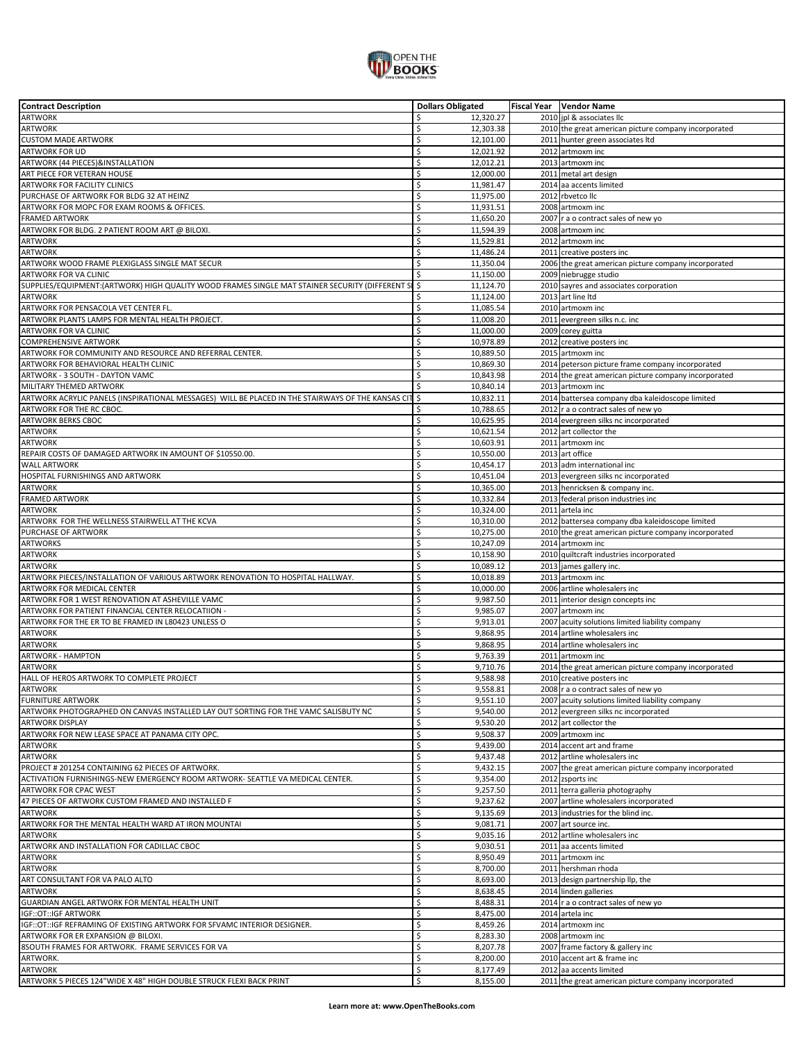

| <b>Contract Description</b>                                                                       | <b>Dollars Obligated</b> | Fiscal Year    Vendor Name                           |
|---------------------------------------------------------------------------------------------------|--------------------------|------------------------------------------------------|
| <b>ARTWORK</b>                                                                                    | \$<br>12,320.27          | 2010 jpl & associates IIc                            |
| <b>ARTWORK</b>                                                                                    | \$<br>12,303.38          | 2010 the great american picture company incorporated |
|                                                                                                   | \$                       |                                                      |
| <b>CUSTOM MADE ARTWORK</b>                                                                        | 12,101.00                | 2011 hunter green associates Itd                     |
| ARTWORK FOR UD                                                                                    | \$<br>12,021.92          | 2012 artmoxm inc                                     |
| ARTWORK (44 PIECES) & INSTALLATION                                                                | \$<br>12,012.21          | 2013 artmoxm inc                                     |
| ART PIECE FOR VETERAN HOUSE                                                                       | \$<br>12,000.00          | 2011 metal art design                                |
| ARTWORK FOR FACILITY CLINICS                                                                      | \$<br>11,981.47          | 2014 aa accents limited                              |
|                                                                                                   | \$                       | 2012 rbvetco Ilc                                     |
| PURCHASE OF ARTWORK FOR BLDG 32 AT HEINZ                                                          | 11,975.00                |                                                      |
| ARTWORK FOR MOPC FOR EXAM ROOMS & OFFICES.                                                        | \$<br>11,931.51          | 2008 artmoxm inc                                     |
| <b>FRAMED ARTWORK</b>                                                                             | \$<br>11,650.20          | 2007 r a o contract sales of new yo                  |
| ARTWORK FOR BLDG. 2 PATIENT ROOM ART @ BILOXI.                                                    | \$<br>11,594.39          | 2008 artmoxm inc                                     |
| <b>ARTWORK</b>                                                                                    | \$<br>11,529.81          | 2012 artmoxm inc                                     |
| <b>ARTWORK</b>                                                                                    | \$<br>11,486.24          | 2011 creative posters inc                            |
|                                                                                                   |                          |                                                      |
| ARTWORK WOOD FRAME PLEXIGLASS SINGLE MAT SECUR                                                    | Ś<br>11,350.04           | 2006 the great american picture company incorporated |
| ARTWORK FOR VA CLINIC                                                                             | \$<br>11,150.00          | 2009 niebrugge studio                                |
| SUPPLIES/EQUIPMENT:(ARTWORK) HIGH QUALITY WOOD FRAMES SINGLE MAT STAINER SECURITY (DIFFERENT S    | \$<br>11,124.70          | 2010 sayres and associates corporation               |
| <b>ARTWORK</b>                                                                                    | \$<br>11,124.00          | 2013 art line Itd                                    |
| ARTWORK FOR PENSACOLA VET CENTER FL.                                                              | \$<br>11,085.54          | 2010 artmoxm inc                                     |
|                                                                                                   | \$                       |                                                      |
| ARTWORK PLANTS LAMPS FOR MENTAL HEALTH PROJECT.                                                   | 11,008.20                | 2011 evergreen silks n.c. inc                        |
| ARTWORK FOR VA CLINIC                                                                             | \$<br>11,000.00          | 2009 corey guitta                                    |
| COMPREHENSIVE ARTWORK                                                                             | \$<br>10,978.89          | 2012 creative posters inc                            |
| ARTWORK FOR COMMUNITY AND RESOURCE AND REFERRAL CENTER.                                           | \$<br>10,889.50          | 2015 artmoxm inc                                     |
| ARTWORK FOR BEHAVIORAL HEALTH CLINIC                                                              | \$<br>10,869.30          | 2014 peterson picture frame company incorporated     |
| ARTWORK - 3 SOUTH - DAYTON VAMC                                                                   | \$<br>10,843.98          |                                                      |
|                                                                                                   |                          | 2014 the great american picture company incorporated |
| MILITARY THEMED ARTWORK                                                                           | Ś<br>10,840.14           | 2013 artmoxm inc                                     |
| ARTWORK ACRYLIC PANELS (INSPIRATIONAL MESSAGES) WILL BE PLACED IN THE STAIRWAYS OF THE KANSAS CIT | \$<br>10,832.11          | 2014 battersea company dba kaleidoscope limited      |
| ARTWORK FOR THE RC CBOC.                                                                          | \$<br>10,788.65          | 2012 r a o contract sales of new yo                  |
| ARTWORK BERKS CBOC                                                                                | \$<br>10,625.95          | 2014 evergreen silks nc incorporated                 |
| ARTWORK                                                                                           | \$<br>10,621.54          | 2012 art collector the                               |
|                                                                                                   |                          |                                                      |
| ARTWORK                                                                                           | \$<br>10,603.91          | 2011 artmoxm inc                                     |
| REPAIR COSTS OF DAMAGED ARTWORK IN AMOUNT OF \$10550.00.                                          | \$<br>10,550.00          | 2013 art office                                      |
| <b>WALL ARTWORK</b>                                                                               | \$<br>10,454.17          | 2013 adm international inc                           |
| HOSPITAL FURNISHINGS AND ARTWORK                                                                  | \$<br>10,451.04          | 2013 evergreen silks nc incorporated                 |
| <b>ARTWORK</b>                                                                                    | \$<br>10,365.00          | 2013 henricksen & company inc.                       |
|                                                                                                   |                          |                                                      |
| <b>FRAMED ARTWORK</b>                                                                             | \$<br>10,332.84          | 2013 federal prison industries inc                   |
| <b>ARTWORK</b>                                                                                    | \$<br>10,324.00          | 2011 artela inc                                      |
| ARTWORK FOR THE WELLNESS STAIRWELL AT THE KCVA                                                    | \$<br>10,310.00          | 2012 battersea company dba kaleidoscope limited      |
| PURCHASE OF ARTWORK                                                                               | Ś<br>10,275.00           | 2010 the great american picture company incorporated |
| <b>ARTWORKS</b>                                                                                   | \$<br>10,247.09          | 2014 artmoxm inc                                     |
|                                                                                                   | \$                       |                                                      |
| ARTWORK                                                                                           | 10,158.90                | 2010 quiltcraft industries incorporated              |
| <b>ARTWORK</b>                                                                                    | \$<br>10,089.12          | 2013 james gallery inc.                              |
| ARTWORK PIECES/INSTALLATION OF VARIOUS ARTWORK RENOVATION TO HOSPITAL HALLWAY.                    | \$<br>10,018.89          | 2013 artmoxm inc                                     |
| ARTWORK FOR MEDICAL CENTER                                                                        | \$<br>10,000.00          | 2006 artline wholesalers inc                         |
| ARTWORK FOR 1 WEST RENOVATION AT ASHEVILLE VAMC                                                   | Ś<br>9,987.50            | 2011 interior design concepts inc                    |
| ARTWORK FOR PATIENT FINANCIAL CENTER RELOCATIION -                                                | \$<br>9,985.07           | 2007 artmoxm inc                                     |
|                                                                                                   |                          |                                                      |
| ARTWORK FOR THE ER TO BE FRAMED IN L80423 UNLESS O                                                | \$<br>9,913.01           | 2007 acuity solutions limited liability company      |
| ARTWORK                                                                                           | \$<br>9,868.95           | 2014 artline wholesalers inc                         |
| <b>ARTWORK</b>                                                                                    | \$<br>9,868.95           | 2014 artline wholesalers inc                         |
| <b>ARTWORK - HAMPTON</b>                                                                          | Ś<br>9,763.39            | 2011 artmoxm inc                                     |
| <b>ARTWORK</b>                                                                                    | Ś<br>9,710.76            | 2014 the great american picture company incorporated |
| HALL OF HEROS ARTWORK TO COMPLETE PROJECT                                                         | \$<br>9,588.98           | 2010 creative posters inc                            |
|                                                                                                   |                          |                                                      |
| <b>ARTWORK</b>                                                                                    | \$<br>9,558.81           | 2008 r a o contract sales of new yo                  |
| <b>FURNITURE ARTWORK</b>                                                                          | \$<br>9,551.10           | 2007 acuity solutions limited liability company      |
| ARTWORK PHOTOGRAPHED ON CANVAS INSTALLED LAY OUT SORTING FOR THE VAMC SALISBUTY NC                | \$<br>9,540.00           | 2012 evergreen silks nc incorporated                 |
| <b>ARTWORK DISPLAY</b>                                                                            | \$<br>9,530.20           | 2012 art collector the                               |
| ARTWORK FOR NEW LEASE SPACE AT PANAMA CITY OPC.                                                   | \$<br>9,508.37           | 2009 artmoxm inc                                     |
| <b>ARTWORK</b>                                                                                    | \$<br>9,439.00           | 2014 accent art and frame                            |
|                                                                                                   |                          |                                                      |
| <b>ARTWORK</b>                                                                                    | \$<br>9,437.48           | 2012 artline wholesalers inc                         |
| PROJECT # 201254 CONTAINING 62 PIECES OF ARTWORK.                                                 | \$<br>9,432.15           | 2007 the great american picture company incorporated |
| ACTIVATION FURNISHINGS-NEW EMERGENCY ROOM ARTWORK- SEATTLE VA MEDICAL CENTER.                     | \$<br>9,354.00           | 2012 zsports inc                                     |
| ARTWORK FOR CPAC WEST                                                                             | \$<br>9,257.50           | 2011 terra galleria photography                      |
| 47 PIECES OF ARTWORK CUSTOM FRAMED AND INSTALLED F                                                | \$<br>9,237.62           | 2007 artline wholesalers incorporated                |
| <b>ARTWORK</b>                                                                                    | \$<br>9,135.69           | 2013 industries for the blind inc.                   |
|                                                                                                   |                          |                                                      |
| ARTWORK FOR THE MENTAL HEALTH WARD AT IRON MOUNTAI                                                | Ś<br>9,081.71            | 2007 art source inc.                                 |
| <b>ARTWORK</b>                                                                                    | \$<br>9,035.16           | 2012 artline wholesalers inc                         |
| ARTWORK AND INSTALLATION FOR CADILLAC CBOC                                                        | \$<br>9,030.51           | 2011 aa accents limited                              |
| <b>ARTWORK</b>                                                                                    | \$<br>8,950.49           | 2011 artmoxm inc                                     |
| <b>ARTWORK</b>                                                                                    | \$<br>8,700.00           | 2011 hershman rhoda                                  |
| ART CONSULTANT FOR VA PALO ALTO                                                                   | \$                       |                                                      |
|                                                                                                   | 8,693.00                 | 2013 design partnership llp, the                     |
| <b>ARTWORK</b>                                                                                    | \$<br>8,638.45           | 2014 linden galleries                                |
| GUARDIAN ANGEL ARTWORK FOR MENTAL HEALTH UNIT                                                     | \$<br>8,488.31           | 2014 r a o contract sales of new yo                  |
| IGF:: OT:: IGF ARTWORK                                                                            | \$<br>8,475.00           | 2014 artela inc                                      |
| IGF::OT::IGF REFRAMING OF EXISTING ARTWORK FOR SFVAMC INTERIOR DESIGNER.                          | \$<br>8,459.26           | 2014 artmoxm inc                                     |
| ARTWORK FOR ER EXPANSION @ BILOXI.                                                                | \$<br>8,283.30           | 2008 artmoxm inc                                     |
|                                                                                                   |                          |                                                      |
| 8SOUTH FRAMES FOR ARTWORK. FRAME SERVICES FOR VA                                                  | \$<br>8,207.78           | 2007 frame factory & gallery inc                     |
| ARTWORK.                                                                                          | \$<br>8,200.00           | 2010 accent art & frame inc                          |
| <b>ARTWORK</b>                                                                                    | \$<br>8,177.49           | 2012 aa accents limited                              |
| ARTWORK 5 PIECES 124"WIDE X 48" HIGH DOUBLE STRUCK FLEXI BACK PRINT                               | Ś<br>8,155.00            | 2011 the great american picture company incorporated |
|                                                                                                   |                          |                                                      |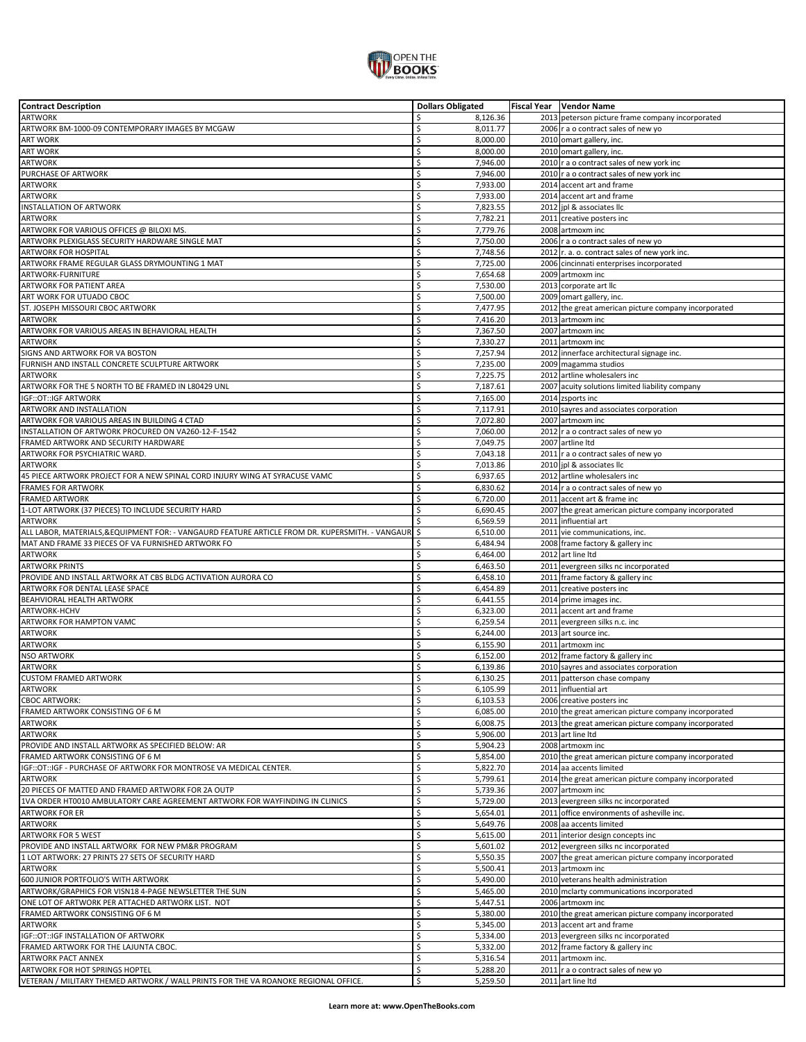

| <b>Contract Description</b>                                                                    | <b>Dollars Obligated</b> | Fiscal Year    Vendor Name                           |
|------------------------------------------------------------------------------------------------|--------------------------|------------------------------------------------------|
| <b>ARTWORK</b>                                                                                 | Ś<br>8,126.36            | 2013 peterson picture frame company incorporated     |
| ARTWORK BM-1000-09 CONTEMPORARY IMAGES BY MCGAW                                                | \$<br>8,011.77           | 2006   r a o contract sales of new yo                |
| <b>ART WORK</b>                                                                                | \$<br>8,000.00           | 2010 omart gallery, inc.                             |
|                                                                                                |                          |                                                      |
| <b>ART WORK</b>                                                                                | \$<br>8,000.00           | 2010 omart gallery, inc.                             |
| <b>ARTWORK</b>                                                                                 | \$<br>7,946.00           | 2010 r a o contract sales of new york inc            |
| PURCHASE OF ARTWORK                                                                            | \$<br>7,946.00           | 2010 r a o contract sales of new york inc            |
| <b>ARTWORK</b>                                                                                 | \$<br>7,933.00           | 2014 accent art and frame                            |
| <b>ARTWORK</b>                                                                                 | \$                       |                                                      |
|                                                                                                | 7,933.00                 | 2014 accent art and frame                            |
| INSTALLATION OF ARTWORK                                                                        | \$<br>7,823.55           | 2012 jpl & associates llc                            |
| <b>ARTWORK</b>                                                                                 | \$<br>7,782.21           | 2011 creative posters inc                            |
| ARTWORK FOR VARIOUS OFFICES @ BILOXI MS.                                                       | \$<br>7,779.76           | 2008 artmoxm inc                                     |
| ARTWORK PLEXIGLASS SECURITY HARDWARE SINGLE MAT                                                | Ś<br>7,750.00            | 2006 r a o contract sales of new yo                  |
| <b>ARTWORK FOR HOSPITAL</b>                                                                    | \$<br>7,748.56           | 2012 r. a. o. contract sales of new york inc.        |
|                                                                                                |                          |                                                      |
| ARTWORK FRAME REGULAR GLASS DRYMOUNTING 1 MAT                                                  | Ś<br>7,725.00            | 2006 cincinnati enterprises incorporated             |
| ARTWORK-FURNITURE                                                                              | \$<br>7,654.68           | 2009 artmoxm inc                                     |
| <b>ARTWORK FOR PATIENT AREA</b>                                                                | \$<br>7,530.00           | 2013 corporate art llc                               |
| ART WORK FOR UTUADO CBOC                                                                       | \$<br>7,500.00           | 2009 omart gallery, inc.                             |
| ST. JOSEPH MISSOURI CBOC ARTWORK                                                               | Ś<br>7,477.95            | 2012 the great american picture company incorporated |
| <b>ARTWORK</b>                                                                                 | \$                       | 2013 artmoxm inc                                     |
|                                                                                                | 7,416.20                 |                                                      |
| ARTWORK FOR VARIOUS AREAS IN BEHAVIORAL HEALTH                                                 | Ś<br>7,367.50            | 2007 artmoxm inc                                     |
| <b>ARTWORK</b>                                                                                 | \$<br>7,330.27           | 2011 artmoxm inc                                     |
| SIGNS AND ARTWORK FOR VA BOSTON                                                                | \$<br>7,257.94           | 2012 innerface architectural signage inc.            |
| FURNISH AND INSTALL CONCRETE SCULPTURE ARTWORK                                                 | \$<br>7,235.00           | 2009 magamma studios                                 |
| <b>ARTWORK</b>                                                                                 | \$<br>7,225.75           | 2012 artline wholesalers inc                         |
|                                                                                                |                          | 2007 acuity solutions limited liability company      |
| ARTWORK FOR THE 5 NORTH TO BE FRAMED IN L80429 UNL                                             | \$<br>7,187.61           |                                                      |
| IGF:: OT:: IGF ARTWORK                                                                         | \$<br>7,165.00           | 2014 zsports inc                                     |
| ARTWORK AND INSTALLATION                                                                       | \$<br>7,117.91           | 2010 sayres and associates corporation               |
| ARTWORK FOR VARIOUS AREAS IN BUILDING 4 CTAD                                                   | \$<br>7,072.80           | 2007 artmoxm inc                                     |
| INSTALLATION OF ARTWORK PROCURED ON VA260-12-F-1542                                            | \$<br>7,060.00           | 2012 r a o contract sales of new yo                  |
| FRAMED ARTWORK AND SECURITY HARDWARE                                                           | \$<br>7,049.75           | 2007 artline Itd                                     |
|                                                                                                |                          |                                                      |
| ARTWORK FOR PSYCHIATRIC WARD.                                                                  | Ś<br>7,043.18            | 2011 r a o contract sales of new yo                  |
| <b>ARTWORK</b>                                                                                 | \$<br>7,013.86           | 2010 jpl & associates llc                            |
| 45 PIECE ARTWORK PROJECT FOR A NEW SPINAL CORD INJURY WING AT SYRACUSE VAMC                    | \$<br>6,937.65           | 2012 artline wholesalers inc                         |
| <b>FRAMES FOR ARTWORK</b>                                                                      | Ś<br>6,830.62            | 2014 r a o contract sales of new yo                  |
| <b>FRAMED ARTWORK</b>                                                                          | \$<br>6,720.00           | 2011 accent art & frame inc                          |
| 1-LOT ARTWORK (37 PIECES) TO INCLUDE SECURITY HARD                                             | Ś<br>6,690.45            | 2007 the great american picture company incorporated |
| ARTWORK                                                                                        | Ś<br>6,569.59            | 2011 influential art                                 |
|                                                                                                |                          |                                                      |
| ALL LABOR, MATERIALS,&EQUIPMENT FOR: - VANGAURD FEATURE ARTICLE FROM DR. KUPERSMITH. - VANGAUR | \$<br>6,510.00           | 2011 vie communications, inc.                        |
| MAT AND FRAME 33 PIECES OF VA FURNISHED ARTWORK FO                                             | \$<br>6,484.94           | 2008 frame factory & gallery inc                     |
| ARTWORK                                                                                        | \$<br>6,464.00           | 2012 art line Itd                                    |
| <b>ARTWORK PRINTS</b>                                                                          | \$<br>6,463.50           | 2011 evergreen silks nc incorporated                 |
| PROVIDE AND INSTALL ARTWORK AT CBS BLDG ACTIVATION AURORA CO                                   | Ś<br>6,458.10            | 2011 frame factory & gallery inc                     |
| ARTWORK FOR DENTAL LEASE SPACE                                                                 | \$<br>6,454.89           | 2011 creative posters inc                            |
| BEAHVIORAL HEALTH ARTWORK                                                                      | Ś<br>6,441.55            | 2014 prime images inc.                               |
|                                                                                                |                          |                                                      |
| ARTWORK-HCHV                                                                                   | Ś<br>6,323.00            | 2011 accent art and frame                            |
| ARTWORK FOR HAMPTON VAMC                                                                       | \$<br>6,259.54           | 2011 evergreen silks n.c. inc                        |
| <b>ARTWORK</b>                                                                                 | \$<br>6,244.00           | 2013 art source inc.                                 |
| ARTWORK                                                                                        | \$<br>6,155.90           | 2011 artmoxm inc                                     |
| NSO ARTWORK                                                                                    | \$<br>6,152.00           | 2012 frame factory & gallery inc                     |
| <b>ARTWORK</b>                                                                                 | \$<br>6,139.86           | 2010 sayres and associates corporation               |
| <b>CUSTOM FRAMED ARTWORK</b>                                                                   | \$<br>6,130.25           | 2011 patterson chase company                         |
|                                                                                                |                          |                                                      |
| <b>ARTWORK</b>                                                                                 | Ś<br>6,105.99            | 2011 influential art                                 |
| <b>CBOC ARTWORK:</b>                                                                           | \$<br>6,103.53           | 2006 creative posters inc                            |
| FRAMED ARTWORK CONSISTING OF 6 M                                                               | \$<br>6,085.00           | 2010 the great american picture company incorporated |
| ARTWORK                                                                                        | \$<br>6,008.75           | 2013 the great american picture company incorporated |
| <b>ARTWORK</b>                                                                                 | \$<br>5,906.00           | 2013 art line Itd                                    |
| PROVIDE AND INSTALL ARTWORK AS SPECIFIED BELOW: AR                                             | \$<br>5,904.23           | 2008 artmoxm inc                                     |
| FRAMED ARTWORK CONSISTING OF 6 M                                                               | \$<br>5,854.00           |                                                      |
|                                                                                                |                          | 2010 the great american picture company incorporated |
| IGF::OT::IGF - PURCHASE OF ARTWORK FOR MONTROSE VA MEDICAL CENTER.                             | \$<br>5,822.70           | 2014 aa accents limited                              |
| <b>ARTWORK</b>                                                                                 | \$<br>5,799.61           | 2014 the great american picture company incorporated |
| 20 PIECES OF MATTED AND FRAMED ARTWORK FOR 2A OUTP                                             | \$<br>5,739.36           | 2007 artmoxm inc                                     |
| 1VA ORDER HT0010 AMBULATORY CARE AGREEMENT ARTWORK FOR WAYFINDING IN CLINICS                   | \$<br>5,729.00           | 2013 evergreen silks nc incorporated                 |
| <b>ARTWORK FOR ER</b>                                                                          | \$<br>5,654.01           | 2011 office environments of asheville inc.           |
| ARTWORK                                                                                        | \$<br>5,649.76           | 2008 aa accents limited                              |
| <b>ARTWORK FOR 5 WEST</b>                                                                      | \$<br>5,615.00           | 2011 interior design concepts inc                    |
| PROVIDE AND INSTALL ARTWORK FOR NEW PM&R PROGRAM                                               | \$<br>5,601.02           | 2012 evergreen silks nc incorporated                 |
|                                                                                                |                          |                                                      |
| 1 LOT ARTWORK: 27 PRINTS 27 SETS OF SECURITY HARD                                              | \$<br>5,550.35           | 2007 the great american picture company incorporated |
| ARTWORK                                                                                        | \$<br>5,500.41           | 2013 artmoxm inc                                     |
| 600 JUNIOR PORTFOLIO'S WITH ARTWORK                                                            | \$<br>5,490.00           | 2010 veterans health administration                  |
| ARTWORK/GRAPHICS FOR VISN18 4-PAGE NEWSLETTER THE SUN                                          | \$<br>5,465.00           | 2010 mclarty communications incorporated             |
| ONE LOT OF ARTWORK PER ATTACHED ARTWORK LIST. NOT                                              | \$<br>5,447.51           | 2006 artmoxm inc                                     |
| FRAMED ARTWORK CONSISTING OF 6 M                                                               | \$<br>5,380.00           | 2010 the great american picture company incorporated |
| <b>ARTWORK</b>                                                                                 | \$<br>5,345.00           | 2013 accent art and frame                            |
| IGF:: OT:: IGF INSTALLATION OF ARTWORK                                                         | \$<br>5,334.00           | 2013 evergreen silks nc incorporated                 |
|                                                                                                | Ś                        |                                                      |
| FRAMED ARTWORK FOR THE LAJUNTA CBOC.                                                           | 5,332.00                 | 2012 frame factory & gallery inc                     |
| <b>ARTWORK PACT ANNEX</b>                                                                      | \$<br>5,316.54           | 2011 artmoxm inc.                                    |
| ARTWORK FOR HOT SPRINGS HOPTEL                                                                 | \$<br>5,288.20           | 2011 r a o contract sales of new yo                  |
| VETERAN / MILITARY THEMED ARTWORK / WALL PRINTS FOR THE VA ROANOKE REGIONAL OFFICE.            | \$<br>5,259.50           | 2011 art line Itd                                    |
|                                                                                                |                          |                                                      |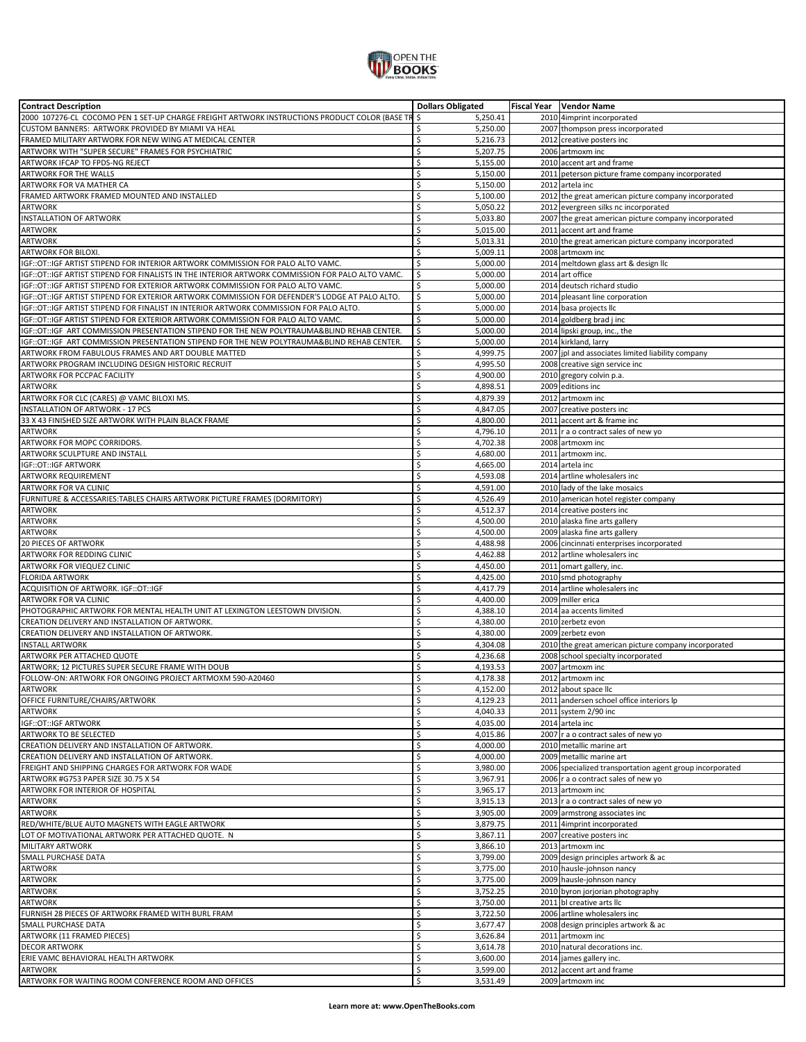

| <b>Contract Description</b>                                                                      | <b>Dollars Obligated</b> | Fiscal Year   Vendor Name                                |
|--------------------------------------------------------------------------------------------------|--------------------------|----------------------------------------------------------|
| 2000 107276-CL COCOMO PEN 1 SET-UP CHARGE FREIGHT ARTWORK INSTRUCTIONS PRODUCT COLOR (BASE TR    | \$<br>5,250.41           | 2010 4imprint incorporated                               |
| CUSTOM BANNERS: ARTWORK PROVIDED BY MIAMI VA HEAL                                                | 5,250.00<br>Ś            | 2007 thompson press incorporated                         |
| FRAMED MILITARY ARTWORK FOR NEW WING AT MEDICAL CENTER                                           | \$<br>5,216.73           | 2012 creative posters inc                                |
|                                                                                                  | Ś                        | 2006 artmoxm inc                                         |
| ARTWORK WITH "SUPER SECURE" FRAMES FOR PSYCHIATRIC                                               | 5,207.75                 |                                                          |
| ARTWORK IFCAP TO FPDS-NG REJECT                                                                  | Ś<br>5,155.00            | 2010 accent art and frame                                |
| <b>ARTWORK FOR THE WALLS</b>                                                                     | \$<br>5,150.00           | 2011 peterson picture frame company incorporated         |
| ARTWORK FOR VA MATHER CA                                                                         | Ś<br>5,150.00            | 2012 artela inc                                          |
| FRAMED ARTWORK FRAMED MOUNTED AND INSTALLED                                                      | Ś<br>5,100.00            | 2012 the great american picture company incorporated     |
| <b>ARTWORK</b>                                                                                   | \$<br>5,050.22           | 2012 evergreen silks nc incorporated                     |
| <b>INSTALLATION OF ARTWORK</b>                                                                   | Ś<br>5,033.80            | 2007 the great american picture company incorporated     |
|                                                                                                  | Ś                        |                                                          |
| <b>ARTWORK</b>                                                                                   | 5,015.00                 | 2011 accent art and frame                                |
| <b>ARTWORK</b>                                                                                   | Ś<br>5,013.31            | 2010 the great american picture company incorporated     |
| ARTWORK FOR BILOXI.                                                                              | Ś<br>5,009.11            | 2008 artmoxm inc                                         |
| IGF::OT::IGF ARTIST STIPEND FOR INTERIOR ARTWORK COMMISSION FOR PALO ALTO VAMC.                  | Ś<br>5,000.00            | 2014 meltdown glass art & design IIc                     |
| IGF::OT::IGF ARTIST STIPEND FOR FINALISTS IN THE INTERIOR ARTWORK COMMISSION FOR PALO ALTO VAMC. | \$<br>5,000.00           | 2014 art office                                          |
| IGF:: OT:: IGF ARTIST STIPEND FOR EXTERIOR ARTWORK COMMISSION FOR PALO ALTO VAMC.                | Ś<br>5,000.00            | 2014 deutsch richard studio                              |
| IGF::OT::IGF ARTIST STIPEND FOR EXTERIOR ARTWORK COMMISSION FOR DEFENDER'S LODGE AT PALO ALTO.   | \$<br>5,000.00           | 2014 pleasant line corporation                           |
|                                                                                                  | Ś                        |                                                          |
| IGF:: OT:: IGF ARTIST STIPEND FOR FINALIST IN INTERIOR ARTWORK COMMISSION FOR PALO ALTO.         | 5,000.00                 | 2014 basa projects llc                                   |
| IGF:: OT:: IGF ARTIST STIPEND FOR EXTERIOR ARTWORK COMMISSION FOR PALO ALTO VAMC.                | \$<br>5,000.00           | 2014 goldberg brad j inc                                 |
| IGF::OT::IGF ART COMMISSION PRESENTATION STIPEND FOR THE NEW POLYTRAUMA&BLIND REHAB CENTER.      | \$<br>5,000.00           | 2014 lipski group, inc., the                             |
| IGF::OT::IGF ART COMMISSION PRESENTATION STIPEND FOR THE NEW POLYTRAUMA&BLIND REHAB CENTER.      | \$<br>5,000.00           | 2014 kirkland, larry                                     |
| ARTWORK FROM FABULOUS FRAMES AND ART DOUBLE MATTED                                               | \$<br>4,999.75           | 2007 jpl and associates limited liability company        |
| ARTWORK PROGRAM INCLUDING DESIGN HISTORIC RECRUIT                                                | Ś<br>4,995.50            | 2008 creative sign service inc                           |
|                                                                                                  | \$                       |                                                          |
| ARTWORK FOR PCCPAC FACILITY                                                                      | 4,900.00                 | 2010 gregory colvin p.a.                                 |
| <b>ARTWORK</b>                                                                                   | \$<br>4,898.51           | 2009 editions inc                                        |
| ARTWORK FOR CLC (CARES) @ VAMC BILOXI MS.                                                        | Ś<br>4,879.39            | 2012 artmoxm inc                                         |
| <b>INSTALLATION OF ARTWORK - 17 PCS</b>                                                          | Ś<br>4.847.05            | 2007 creative posters inc                                |
| 33 X 43 FINISHED SIZE ARTWORK WITH PLAIN BLACK FRAME                                             | Ś<br>4,800.00            | 2011 accent art & frame inc                              |
| <b>ARTWORK</b>                                                                                   | Ś<br>4,796.10            | 2011 r a o contract sales of new yo                      |
|                                                                                                  |                          |                                                          |
| ARTWORK FOR MOPC CORRIDORS.                                                                      | Ś<br>4,702.38            | 2008 artmoxm inc                                         |
| ARTWORK SCULPTURE AND INSTALL                                                                    | Ś<br>4,680.00            | 2011 artmoxm inc.                                        |
| IGF:: OT:: IGF ARTWORK                                                                           | Ś<br>4,665.00            | 2014 artela inc                                          |
| ARTWORK REQUIREMENT                                                                              | Ś<br>4,593.08            | 2014 artline wholesalers inc                             |
| ARTWORK FOR VA CLINIC                                                                            | Ś<br>4,591.00            | 2010 lady of the lake mosaics                            |
| FURNITURE & ACCESSARIES: TABLES CHAIRS ARTWORK PICTURE FRAMES (DORMITORY)                        | Ś<br>4,526.49            | 2010 american hotel register company                     |
|                                                                                                  | Ś                        |                                                          |
| <b>ARTWORK</b>                                                                                   | 4,512.37                 | 2014 creative posters inc                                |
| <b>ARTWORK</b>                                                                                   | Ś<br>4,500.00            | 2010 alaska fine arts gallery                            |
| <b>ARTWORK</b>                                                                                   | Ś<br>4,500.00            | 2009 alaska fine arts gallery                            |
| <b>20 PIECES OF ARTWORK</b>                                                                      | Ś<br>4,488.98            | 2006 cincinnati enterprises incorporated                 |
| ARTWORK FOR REDDING CLINIC                                                                       | Ś<br>4,462.88            | 2012 artline wholesalers inc                             |
| ARTWORK FOR VIEQUEZ CLINIC                                                                       | Ś<br>4,450.00            | 2011 omart gallery, inc.                                 |
| <b>FLORIDA ARTWORK</b>                                                                           | Ś                        |                                                          |
|                                                                                                  | 4,425.00                 | 2010 smd photography                                     |
| ACQUISITION OF ARTWORK. IGF::OT::IGF                                                             | \$<br>4,417.79           | 2014 artline wholesalers inc                             |
| ARTWORK FOR VA CLINIC                                                                            | \$<br>4,400.00           | 2009 miller erica                                        |
| PHOTOGRAPHIC ARTWORK FOR MENTAL HEALTH UNIT AT LEXINGTON LEESTOWN DIVISION.                      | Ś<br>4,388.10            | 2014 aa accents limited                                  |
| CREATION DELIVERY AND INSTALLATION OF ARTWORK.                                                   | Ś<br>4,380.00            | 2010 zerbetz evon                                        |
| CREATION DELIVERY AND INSTALLATION OF ARTWORK.                                                   | Ś<br>4,380.00            | 2009 zerbetz evon                                        |
| <b>INSTALL ARTWORK</b>                                                                           | Ś<br>4,304.08            | 2010 the great american picture company incorporated     |
|                                                                                                  |                          |                                                          |
| ARTWORK PER ATTACHED QUOTE                                                                       | Ś<br>4,236.68            | 2008 school specialty incorporated                       |
| ARTWORK; 12 PICTURES SUPER SECURE FRAME WITH DOUB                                                | Ś<br>4,193.53            | 2007 artmoxm inc                                         |
| FOLLOW-ON: ARTWORK FOR ONGOING PROJECT ARTMOXM 590-A20460                                        | Ś<br>4,178.38            | 2012 artmoxm inc                                         |
| <b>ARTWORK</b>                                                                                   | Ś<br>4.152.00            | 2012 about space llc                                     |
| OFFICE FURNITURE/CHAIRS/ARTWORK                                                                  | \$<br>4,129.23           | 2011 andersen schoel office interiors lp                 |
| <b>ARTWORK</b>                                                                                   | \$<br>4,040.33           | 2011 system 2/90 inc                                     |
| IGF::OT::IGF ARTWORK                                                                             | Ś<br>4,035.00            | 2014 artela inc                                          |
|                                                                                                  |                          |                                                          |
| ARTWORK TO BE SELECTED                                                                           | \$<br>4,015.86           | 2007 r a o contract sales of new yo                      |
| CREATION DELIVERY AND INSTALLATION OF ARTWORK.                                                   | \$<br>4,000.00           | 2010 metallic marine art                                 |
| CREATION DELIVERY AND INSTALLATION OF ARTWORK.                                                   | \$<br>4,000.00           | 2009 metallic marine art                                 |
| FREIGHT AND SHIPPING CHARGES FOR ARTWORK FOR WADE                                                | \$<br>3,980.00           | 2006 specialized transportation agent group incorporated |
| ARTWORK #G753 PAPER SIZE 30.75 X 54                                                              | Ś<br>3,967.91            | 2006 r a o contract sales of new yo                      |
| ARTWORK FOR INTERIOR OF HOSPITAL                                                                 | \$<br>3,965.17           | 2013 artmoxm inc                                         |
| <b>ARTWORK</b>                                                                                   | \$                       |                                                          |
|                                                                                                  | 3,915.13                 | 2013 r a o contract sales of new yo                      |
| <b>ARTWORK</b>                                                                                   | \$<br>3,905.00           | 2009 armstrong associates inc                            |
| RED/WHITE/BLUE AUTO MAGNETS WITH EAGLE ARTWORK                                                   | Ś<br>3,879.75            | 2011 4imprint incorporated                               |
| LOT OF MOTIVATIONAL ARTWORK PER ATTACHED QUOTE. N                                                | \$<br>3,867.11           | 2007 creative posters inc                                |
| <b>MILITARY ARTWORK</b>                                                                          | \$<br>3,866.10           | 2013 artmoxm inc                                         |
| SMALL PURCHASE DATA                                                                              | Ś<br>3,799.00            | 2009 design principles artwork & ac                      |
| <b>ARTWORK</b>                                                                                   | Ś<br>3,775.00            | 2010 hausle-johnson nancy                                |
|                                                                                                  |                          |                                                          |
| <b>ARTWORK</b>                                                                                   | \$<br>3,775.00           | 2009 hausle-johnson nancy                                |
| <b>ARTWORK</b>                                                                                   | Ś<br>3,752.25            | 2010 byron jorjorian photography                         |
| <b>ARTWORK</b>                                                                                   | Ś<br>3,750.00            | 2011 bl creative arts llc                                |
| FURNISH 28 PIECES OF ARTWORK FRAMED WITH BURL FRAM                                               | \$<br>3,722.50           | 2006 artline wholesalers inc                             |
| SMALL PURCHASE DATA                                                                              | Ś<br>3,677.47            | 2008 design principles artwork & ac                      |
| ARTWORK (11 FRAMED PIECES)                                                                       | \$<br>3,626.84           | 2011 artmoxm inc                                         |
|                                                                                                  | Ś                        |                                                          |
| <b>DECOR ARTWORK</b>                                                                             | 3,614.78                 | 2010 natural decorations inc.                            |
| ERIE VAMC BEHAVIORAL HEALTH ARTWORK                                                              | \$<br>3,600.00           | 2014 james gallery inc.                                  |
| <b>ARTWORK</b>                                                                                   | \$<br>3,599.00           | 2012 accent art and frame                                |
| ARTWORK FOR WAITING ROOM CONFERENCE ROOM AND OFFICES                                             | Ś<br>3,531.49            | 2009 artmoxm inc                                         |
|                                                                                                  |                          |                                                          |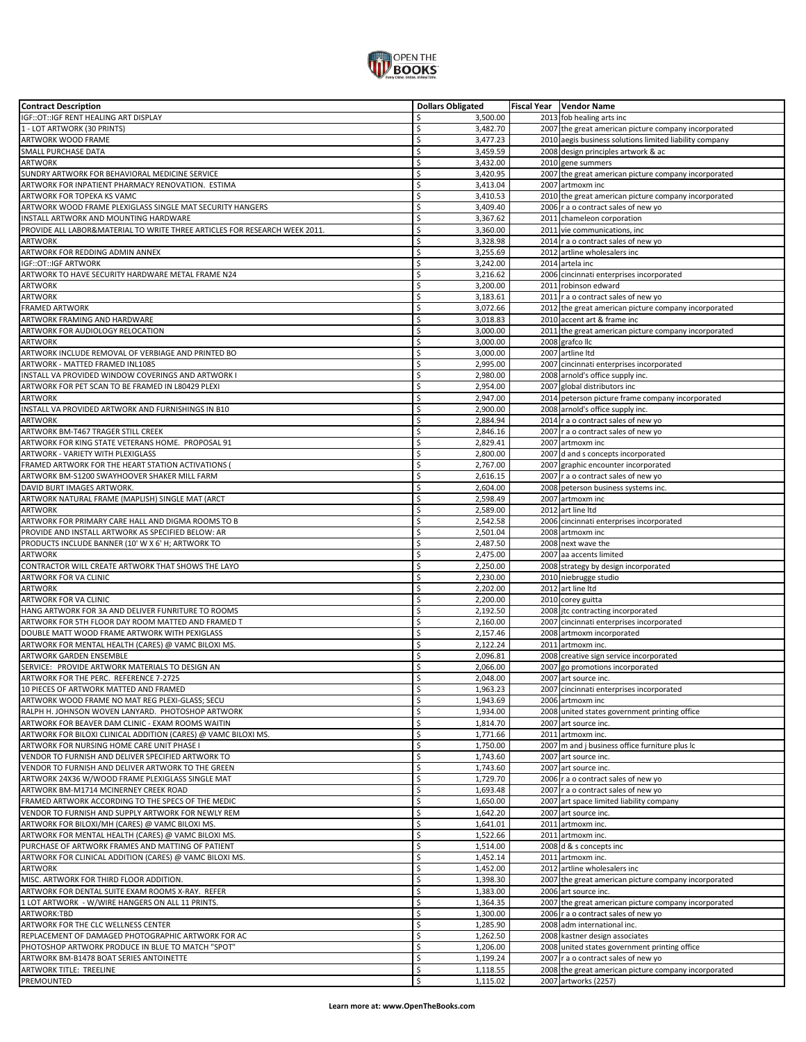

| <b>Contract Description</b>                                                | <b>Dollars Obligated</b> | Fiscal Year   Vendor Name                               |
|----------------------------------------------------------------------------|--------------------------|---------------------------------------------------------|
| IGF:: OT:: IGF RENT HEALING ART DISPLAY                                    | Ś<br>3,500.00            | 2013 fob healing arts inc                               |
| 1 - LOT ARTWORK (30 PRINTS)                                                | \$<br>3,482.70           | 2007 the great american picture company incorporated    |
| ARTWORK WOOD FRAME                                                         | \$<br>3,477.23           | 2010 aegis business solutions limited liability company |
|                                                                            |                          |                                                         |
| SMALL PURCHASE DATA                                                        | \$<br>3,459.59           | 2008 design principles artwork & ac                     |
| <b>ARTWORK</b>                                                             | Ś<br>3,432.00            | 2010 gene summers                                       |
| SUNDRY ARTWORK FOR BEHAVIORAL MEDICINE SERVICE                             | \$<br>3,420.95           | 2007 the great american picture company incorporated    |
| ARTWORK FOR INPATIENT PHARMACY RENOVATION. ESTIMA                          | Ś<br>3,413.04            | 2007 artmoxm inc                                        |
|                                                                            | \$                       |                                                         |
| ARTWORK FOR TOPEKA KS VAMC                                                 | 3,410.53                 | 2010 the great american picture company incorporated    |
| ARTWORK WOOD FRAME PLEXIGLASS SINGLE MAT SECURITY HANGERS                  | \$<br>3,409.40           | 2006 r a o contract sales of new yo                     |
| INSTALL ARTWORK AND MOUNTING HARDWARE                                      | \$<br>3,367.62           | 2011 chameleon corporation                              |
| PROVIDE ALL LABOR&MATERIAL TO WRITE THREE ARTICLES FOR RESEARCH WEEK 2011. | \$<br>3,360.00           | 2011 vie communications, inc                            |
| <b>ARTWORK</b>                                                             | \$<br>3,328.98           | 2014 r a o contract sales of new yo                     |
| ARTWORK FOR REDDING ADMIN ANNEX                                            | \$<br>3,255.69           | 2012 artline wholesalers inc                            |
|                                                                            | Ś                        |                                                         |
| IGF::OT::IGF ARTWORK                                                       | 3,242.00                 | 2014 artela inc                                         |
| ARTWORK TO HAVE SECURITY HARDWARE METAL FRAME N24                          | \$<br>3,216.62           | 2006 cincinnati enterprises incorporated                |
| ARTWORK                                                                    | \$<br>3,200.00           | 2011 robinson edward                                    |
| <b>ARTWORK</b>                                                             | \$<br>3,183.61           | 2011 r a o contract sales of new yo                     |
| <b>FRAMED ARTWORK</b>                                                      | Ś<br>3,072.66            | 2012 the great american picture company incorporated    |
| ARTWORK FRAMING AND HARDWARE                                               | Ś<br>3,018.83            | 2010 accent art & frame inc                             |
|                                                                            |                          |                                                         |
| ARTWORK FOR AUDIOLOGY RELOCATION                                           | \$<br>3,000.00           | 2011 the great american picture company incorporated    |
| <b>ARTWORK</b>                                                             | \$<br>3,000.00           | 2008 grafco llc                                         |
| ARTWORK INCLUDE REMOVAL OF VERBIAGE AND PRINTED BO                         | \$<br>3,000.00           | 2007 artline Itd                                        |
| ARTWORK - MATTED FRAMED INL1085                                            | \$<br>2,995.00           | 2007 cincinnati enterprises incorporated                |
| INSTALL VA PROVIDED WINDOW COVERINGS AND ARTWORK I                         | \$<br>2,980.00           | 2008 arnold's office supply inc.                        |
| ARTWORK FOR PET SCAN TO BE FRAMED IN L80429 PLEXI                          | \$<br>2,954.00           | 2007 global distributors inc                            |
|                                                                            |                          |                                                         |
| <b>ARTWORK</b>                                                             | \$<br>2,947.00           | 2014 peterson picture frame company incorporated        |
| INSTALL VA PROVIDED ARTWORK AND FURNISHINGS IN B10                         | Ś<br>2,900.00            | 2008 arnold's office supply inc.                        |
| ARTWORK                                                                    | \$<br>2,884.94           | 2014 r a o contract sales of new yo                     |
| ARTWORK BM-T467 TRAGER STILL CREEK                                         | \$<br>2,846.16           | 2007 r a o contract sales of new yo                     |
| ARTWORK FOR KING STATE VETERANS HOME. PROPOSAL 91                          | Ś<br>2,829.41            | 2007 artmoxm inc                                        |
|                                                                            |                          |                                                         |
| ARTWORK - VARIETY WITH PLEXIGLASS                                          | Ś<br>2,800.00            | 2007 d and s concepts incorporated                      |
| FRAMED ARTWORK FOR THE HEART STATION ACTIVATIONS (                         | \$<br>2,767.00           | 2007 graphic encounter incorporated                     |
| ARTWORK BM-S1200 SWAYHOOVER SHAKER MILL FARM                               | Ś<br>2,616.15            | 2007 r a o contract sales of new yo                     |
| DAVID BURT IMAGES ARTWORK.                                                 | \$<br>2,604.00           | 2008 peterson business systems inc.                     |
| ARTWORK NATURAL FRAME (MAPLISH) SINGLE MAT (ARCT                           | \$<br>2,598.49           | 2007 artmoxm inc                                        |
| <b>ARTWORK</b>                                                             | \$<br>2,589.00           | 2012 art line Itd                                       |
|                                                                            | \$                       |                                                         |
| ARTWORK FOR PRIMARY CARE HALL AND DIGMA ROOMS TO B                         | 2,542.58                 | 2006 cincinnati enterprises incorporated                |
| PROVIDE AND INSTALL ARTWORK AS SPECIFIED BELOW: AR                         | Ś<br>2,501.04            | 2008 artmoxm inc                                        |
| PRODUCTS INCLUDE BANNER (10' W X 6' H; ARTWORK TO                          | \$<br>2,487.50           | 2008 next wave the                                      |
| ARTWORK                                                                    | \$<br>2,475.00           | 2007 aa accents limited                                 |
| CONTRACTOR WILL CREATE ARTWORK THAT SHOWS THE LAYO                         | \$<br>2,250.00           | 2008 strategy by design incorporated                    |
| ARTWORK FOR VA CLINIC                                                      | \$<br>2,230.00           | 2010 niebrugge studio                                   |
| <b>ARTWORK</b>                                                             | \$<br>2,202.00           | 2012 art line Itd                                       |
| ARTWORK FOR VA CLINIC                                                      | \$<br>2,200.00           | 2010 corey guitta                                       |
|                                                                            |                          |                                                         |
| HANG ARTWORK FOR 3A AND DELIVER FUNRITURE TO ROOMS                         | Ś<br>2,192.50            | 2008 jtc contracting incorporated                       |
| ARTWORK FOR 5TH FLOOR DAY ROOM MATTED AND FRAMED T                         | \$<br>2,160.00           | 2007 cincinnati enterprises incorporated                |
| DOUBLE MATT WOOD FRAME ARTWORK WITH PEXIGLASS                              | \$<br>2,157.46           | 2008 artmoxm incorporated                               |
| ARTWORK FOR MENTAL HEALTH (CARES) @ VAMC BILOXI MS.                        | \$<br>2,122.24           | 2011 artmoxm inc.                                       |
| ARTWORK GARDEN ENSEMBLE                                                    | Ś<br>2,096.81            | 2008 creative sign service incorporated                 |
| SERVICE: PROVIDE ARTWORK MATERIALS TO DESIGN AN                            | \$<br>2,066.00           | 2007 go promotions incorporated                         |
|                                                                            |                          |                                                         |
| ARTWORK FOR THE PERC. REFERENCE 7-2725                                     | \$<br>2,048.00           | 2007 art source inc.                                    |
| 10 PIECES OF ARTWORK MATTED AND FRAMED                                     | \$<br>1,963.23           | 2007 cincinnati enterprises incorporated                |
| ARTWORK WOOD FRAME NO MAT REG PLEXI-GLASS; SECU                            | \$<br>1,943.69           | 2006 artmoxm inc                                        |
| RALPH H. JOHNSON WOVEN LANYARD. PHOTOSHOP ARTWORK                          | \$<br>1,934.00           | 2008 united states government printing office           |
| ARTWORK FOR BEAVER DAM CLINIC - EXAM ROOMS WAITIN                          | \$<br>1,814.70           | 2007 art source inc.                                    |
| ARTWORK FOR BILOXI CLINICAL ADDITION (CARES) @ VAMC BILOXI MS.             | \$<br>1,771.66           | 2011 artmoxm inc.                                       |
| ARTWORK FOR NURSING HOME CARE UNIT PHASE I                                 | \$<br>1,750.00           | 2007 m and j business office furniture plus Ic          |
|                                                                            |                          |                                                         |
| VENDOR TO FURNISH AND DELIVER SPECIFIED ARTWORK TO                         | \$<br>1,743.60           | 2007 art source inc.                                    |
| VENDOR TO FURNISH AND DELIVER ARTWORK TO THE GREEN                         | \$<br>1,743.60           | 2007 art source inc.                                    |
| ARTWORK 24X36 W/WOOD FRAME PLEXIGLASS SINGLE MAT                           | \$<br>1,729.70           | 2006 r a o contract sales of new yo                     |
| ARTWORK BM-M1714 MCINERNEY CREEK ROAD                                      | \$<br>1,693.48           | 2007 r a o contract sales of new yo                     |
| FRAMED ARTWORK ACCORDING TO THE SPECS OF THE MEDIC                         | \$<br>1,650.00           | 2007 art space limited liability company                |
| VENDOR TO FURNISH AND SUPPLY ARTWORK FOR NEWLY REM                         | \$<br>1,642.20           | 2007 art source inc.                                    |
| ARTWORK FOR BILOXI/MH (CARES) @ VAMC BILOXI MS.                            | \$<br>1,641.01           | 2011 artmoxm inc.                                       |
| ARTWORK FOR MENTAL HEALTH (CARES) @ VAMC BILOXI MS.                        | \$<br>1,522.66           | 2011 artmoxm inc.                                       |
|                                                                            |                          |                                                         |
| PURCHASE OF ARTWORK FRAMES AND MATTING OF PATIENT                          | \$<br>1,514.00           | 2008 d & s concepts inc                                 |
| ARTWORK FOR CLINICAL ADDITION (CARES) @ VAMC BILOXI MS.                    | \$<br>1,452.14           | 2011 artmoxm inc.                                       |
| <b>ARTWORK</b>                                                             | \$<br>1,452.00           | 2012 artline wholesalers inc                            |
| MISC. ARTWORK FOR THIRD FLOOR ADDITION.                                    | \$<br>1,398.30           | 2007 the great american picture company incorporated    |
| ARTWORK FOR DENTAL SUITE EXAM ROOMS X-RAY. REFER                           | \$<br>1,383.00           | 2006 art source inc.                                    |
| 1 LOT ARTWORK - W/WIRE HANGERS ON ALL 11 PRINTS.                           | \$<br>1,364.35           | 2007 the great american picture company incorporated    |
| ARTWORK:TBD                                                                | \$<br>1,300.00           | 2006 r a o contract sales of new yo                     |
|                                                                            | \$                       |                                                         |
| ARTWORK FOR THE CLC WELLNESS CENTER                                        | 1,285.90                 | 2008 adm international inc.                             |
| REPLACEMENT OF DAMAGED PHOTOGRAPHIC ARTWORK FOR AC                         | \$<br>1,262.50           | 2008 kastner design associates                          |
| PHOTOSHOP ARTWORK PRODUCE IN BLUE TO MATCH "SPOT"                          | \$<br>1,206.00           | 2008 united states government printing office           |
| ARTWORK BM-B1478 BOAT SERIES ANTOINETTE                                    | \$<br>1,199.24           | 2007 r a o contract sales of new yo                     |
| ARTWORK TITLE: TREELINE                                                    | \$<br>1,118.55           | 2008 the great american picture company incorporated    |
|                                                                            | \$<br>1,115.02           | 2007 artworks (2257)                                    |
| PREMOUNTED                                                                 |                          |                                                         |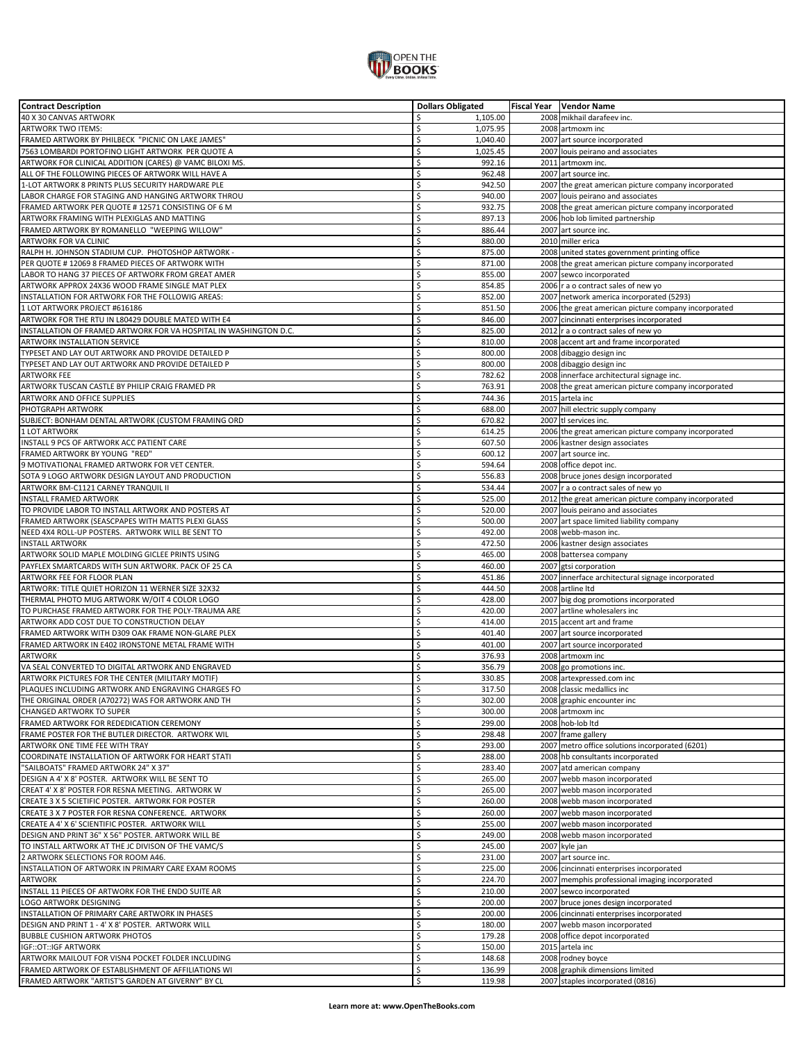

| <b>Contract Description</b>                                       | <b>Dollars Obligated</b> | <b>Fiscal Year</b> Vendor Name                       |
|-------------------------------------------------------------------|--------------------------|------------------------------------------------------|
| 40 X 30 CANVAS ARTWORK                                            | \$<br>1,105.00           | 2008 mikhail darafeev inc.                           |
| ARTWORK TWO ITEMS:                                                | \$<br>1,075.95           | 2008 artmoxm inc                                     |
| FRAMED ARTWORK BY PHILBECK "PICNIC ON LAKE JAMES"                 | \$<br>1,040.40           | 2007 art source incorporated                         |
| 7563 LOMBARDI PORTOFINO LIGHT ARTWORK PER QUOTE A                 | \$<br>1,025.45           | 2007 louis peirano and associates                    |
|                                                                   |                          |                                                      |
| ARTWORK FOR CLINICAL ADDITION (CARES) @ VAMC BILOXI MS.           | \$<br>992.16             | 2011 artmoxm inc.                                    |
| ALL OF THE FOLLOWING PIECES OF ARTWORK WILL HAVE A                | \$<br>962.48             | 2007 art source inc.                                 |
| 1-LOT ARTWORK 8 PRINTS PLUS SECURITY HARDWARE PLE                 | \$<br>942.50             | 2007 the great american picture company incorporated |
| LABOR CHARGE FOR STAGING AND HANGING ARTWORK THROU                | \$<br>940.00             | 2007 louis peirano and associates                    |
| FRAMED ARTWORK PER QUOTE # 12571 CONSISTING OF 6 M                | \$<br>932.75             | 2008 the great american picture company incorporated |
| ARTWORK FRAMING WITH PLEXIGLAS AND MATTING                        | \$<br>897.13             | 2006 hob lob limited partnership                     |
|                                                                   |                          |                                                      |
| FRAMED ARTWORK BY ROMANELLO "WEEPING WILLOW"                      | \$<br>886.44             | 2007 art source inc.                                 |
| ARTWORK FOR VA CLINIC                                             | \$<br>880.00             | 2010 miller erica                                    |
| RALPH H. JOHNSON STADIUM CUP. PHOTOSHOP ARTWORK -                 | \$<br>875.00             | 2008 united states government printing office        |
| PER QUOTE # 12069 8 FRAMED PIECES OF ARTWORK WITH                 | \$<br>871.00             | 2008 the great american picture company incorporated |
| LABOR TO HANG 37 PIECES OF ARTWORK FROM GREAT AMER                | \$<br>855.00             | 2007 sewco incorporated                              |
| ARTWORK APPROX 24X36 WOOD FRAME SINGLE MAT PLEX                   | \$<br>854.85             | 2006   r a o contract sales of new yo                |
| INSTALLATION FOR ARTWORK FOR THE FOLLOWIG AREAS:                  | \$<br>852.00             | 2007 network america incorporated (5293)             |
|                                                                   | \$                       |                                                      |
| 1 LOT ARTWORK PROJECT #616186                                     | 851.50                   | 2006 the great american picture company incorporated |
| ARTWORK FOR THE RTU IN L80429 DOUBLE MATED WITH E4                | \$<br>846.00             | 2007 cincinnati enterprises incorporated             |
| INSTALLATION OF FRAMED ARTWORK FOR VA HOSPITAL IN WASHINGTON D.C. | \$<br>825.00             | 2012 r a o contract sales of new yo                  |
| ARTWORK INSTALLATION SERVICE                                      | \$<br>810.00             | 2008 accent art and frame incorporated               |
| TYPESET AND LAY OUT ARTWORK AND PROVIDE DETAILED P                | \$<br>800.00             | 2008 dibaggio design inc                             |
| TYPESET AND LAY OUT ARTWORK AND PROVIDE DETAILED P                | \$<br>800.00             | 2008 dibaggio design inc                             |
|                                                                   |                          |                                                      |
| ARTWORK FEE                                                       | \$<br>782.62             | 2008 innerface architectural signage inc.            |
| ARTWORK TUSCAN CASTLE BY PHILIP CRAIG FRAMED PR                   | \$<br>763.91             | 2008 the great american picture company incorporated |
| <b>ARTWORK AND OFFICE SUPPLIES</b>                                | \$<br>744.36             | 2015 artela inc                                      |
| PHOTGRAPH ARTWORK                                                 | \$<br>688.00             | 2007 hill electric supply company                    |
| SUBJECT: BONHAM DENTAL ARTWORK (CUSTOM FRAMING ORD                | \$<br>670.82             | 2007 tl services inc.                                |
| 1 LOT ARTWORK                                                     | \$<br>614.25             |                                                      |
|                                                                   |                          | 2006 the great american picture company incorporated |
| INSTALL 9 PCS OF ARTWORK ACC PATIENT CARE                         | \$<br>607.50             | 2006 kastner design associates                       |
| FRAMED ARTWORK BY YOUNG "RED"                                     | \$<br>600.12             | 2007 art source inc.                                 |
| 9 MOTIVATIONAL FRAMED ARTWORK FOR VET CENTER.                     | \$<br>594.64             | 2008 office depot inc.                               |
| SOTA 9 LOGO ARTWORK DESIGN LAYOUT AND PRODUCTION                  | \$<br>556.83             | 2008 bruce jones design incorporated                 |
| ARTWORK BM-C1121 CARNEY TRANQUIL II                               | \$<br>534.44             | 2007 r a o contract sales of new yo                  |
| INSTALL FRAMED ARTWORK                                            | \$<br>525.00             | 2012 the great american picture company incorporated |
|                                                                   |                          |                                                      |
| TO PROVIDE LABOR TO INSTALL ARTWORK AND POSTERS AT                | \$<br>520.00             | 2007 louis peirano and associates                    |
| FRAMED ARTWORK (SEASCPAPES WITH MATTS PLEXI GLASS                 | \$<br>500.00             | 2007 art space limited liability company             |
| NEED 4X4 ROLL-UP POSTERS. ARTWORK WILL BE SENT TO                 | \$<br>492.00             | 2008 webb-mason inc.                                 |
| <b>INSTALL ARTWORK</b>                                            | \$<br>472.50             | 2006 kastner design associates                       |
| ARTWORK SOLID MAPLE MOLDING GICLEE PRINTS USING                   | \$<br>465.00             | 2008 battersea company                               |
| PAYFLEX SMARTCARDS WITH SUN ARTWORK. PACK OF 25 CA                | \$<br>460.00             | 2007 gtsi corporation                                |
|                                                                   |                          |                                                      |
| ARTWORK FEE FOR FLOOR PLAN                                        | \$<br>451.86             | 2007 innerface architectural signage incorporated    |
| ARTWORK: TITLE QUIET HORIZON 11 WERNER SIZE 32X32                 | \$<br>444.50             | 2008 artline Itd                                     |
| THERMAL PHOTO MUG ARTWORK W/OIT 4 COLOR LOGO                      | \$<br>428.00             | 2007 big dog promotions incorporated                 |
| TO PURCHASE FRAMED ARTWORK FOR THE POLY-TRAUMA ARE                | \$<br>420.00             | 2007 artline wholesalers inc                         |
| ARTWORK ADD COST DUE TO CONSTRUCTION DELAY                        | \$<br>414.00             | 2015 accent art and frame                            |
| FRAMED ARTWORK WITH D309 OAK FRAME NON-GLARE PLEX                 | \$<br>401.40             | 2007 art source incorporated                         |
| FRAMED ARTWORK IN E402 IRONSTONE METAL FRAME WITH                 | \$<br>401.00             |                                                      |
|                                                                   |                          | 2007 art source incorporated                         |
| ARTWORK                                                           | \$<br>376.93             | 2008 artmoxm inc                                     |
| VA SEAL CONVERTED TO DIGITAL ARTWORK AND ENGRAVED                 | \$<br>356.79             | 2008 go promotions inc.                              |
| ARTWORK PICTURES FOR THE CENTER (MILITARY MOTIF)                  | \$<br>330.85             | 2008 artexpressed.com inc                            |
| PLAQUES INCLUDING ARTWORK AND ENGRAVING CHARGES FO                | \$<br>317.50             | 2008 classic medallics inc                           |
| THE ORIGINAL ORDER (A70272) WAS FOR ARTWORK AND TH                | \$<br>302.00             | 2008 graphic encounter inc                           |
|                                                                   |                          |                                                      |
| CHANGED ARTWORK TO SUPER                                          | \$<br>300.00             | 2008 artmoxm inc                                     |
| FRAMED ARTWORK FOR REDEDICATION CEREMONY                          | \$<br>299.00             | 2008 hob-lob ltd                                     |
| FRAME POSTER FOR THE BUTLER DIRECTOR. ARTWORK WIL                 | \$<br>298.48             | 2007 frame gallery                                   |
| ARTWORK ONE TIME FEE WITH TRAY                                    | \$<br>293.00             | 2007 metro office solutions incorporated (6201)      |
| COORDINATE INSTALLATION OF ARTWORK FOR HEART STATI                | \$<br>288.00             | 2008 hb consultants incorporated                     |
| "SAILBOATS" FRAMED ARTWORK 24" X 37"                              | \$<br>283.40             | 2007 atd american company                            |
| DESIGN A 4' X 8' POSTER. ARTWORK WILL BE SENT TO                  | \$<br>265.00             | 2007 webb mason incorporated                         |
|                                                                   |                          |                                                      |
| CREAT 4' X 8' POSTER FOR RESNA MEETING. ARTWORK W                 | \$<br>265.00             | 2007 webb mason incorporated                         |
| CREATE 3 X 5 SCIETIFIC POSTER. ARTWORK FOR POSTER                 | \$<br>260.00             | 2008 webb mason incorporated                         |
| CREATE 3 X 7 POSTER FOR RESNA CONFERENCE. ARTWORK                 | \$<br>260.00             | 2007 webb mason incorporated                         |
| CREATE A 4' X 6' SCIENTIFIC POSTER. ARTWORK WILL                  | \$<br>255.00             | 2007 webb mason incorporated                         |
| DESIGN AND PRINT 36" X 56" POSTER. ARTWORK WILL BE                | \$<br>249.00             | 2008 webb mason incorporated                         |
| TO INSTALL ARTWORK AT THE JC DIVISON OF THE VAMC/S                | \$<br>245.00             | 2007 kyle jan                                        |
|                                                                   |                          |                                                      |
| 2 ARTWORK SELECTIONS FOR ROOM A46.                                | \$<br>231.00             | 2007 art source inc.                                 |
| INSTALLATION OF ARTWORK IN PRIMARY CARE EXAM ROOMS                | \$<br>225.00             | 2006 cincinnati enterprises incorporated             |
| ARTWORK                                                           | \$<br>224.70             | 2007 memphis professional imaging incorporated       |
| INSTALL 11 PIECES OF ARTWORK FOR THE ENDO SUITE AR                | \$<br>210.00             | 2007 sewco incorporated                              |
| LOGO ARTWORK DESIGNING                                            | \$<br>200.00             | 2007 bruce jones design incorporated                 |
| INSTALLATION OF PRIMARY CARE ARTWORK IN PHASES                    | \$<br>200.00             | 2006 cincinnati enterprises incorporated             |
|                                                                   |                          |                                                      |
| DESIGN AND PRINT 1 - 4' X 8' POSTER. ARTWORK WILL                 | \$<br>180.00             | 2007 webb mason incorporated                         |
| <b>BUBBLE CUSHION ARTWORK PHOTOS</b>                              | \$<br>179.28             | 2008 office depot incorporated                       |
| IGF::OT::IGF ARTWORK                                              | \$<br>150.00             | 2015 artela inc                                      |
| ARTWORK MAILOUT FOR VISN4 POCKET FOLDER INCLUDING                 | \$<br>148.68             | 2008 rodney boyce                                    |
| FRAMED ARTWORK OF ESTABLISHMENT OF AFFILIATIONS WI                | \$<br>136.99             | 2008 graphik dimensions limited                      |
| FRAMED ARTWORK "ARTIST'S GARDEN AT GIVERNY" BY CL                 | Ś<br>119.98              | 2007 staples incorporated (0816)                     |
|                                                                   |                          |                                                      |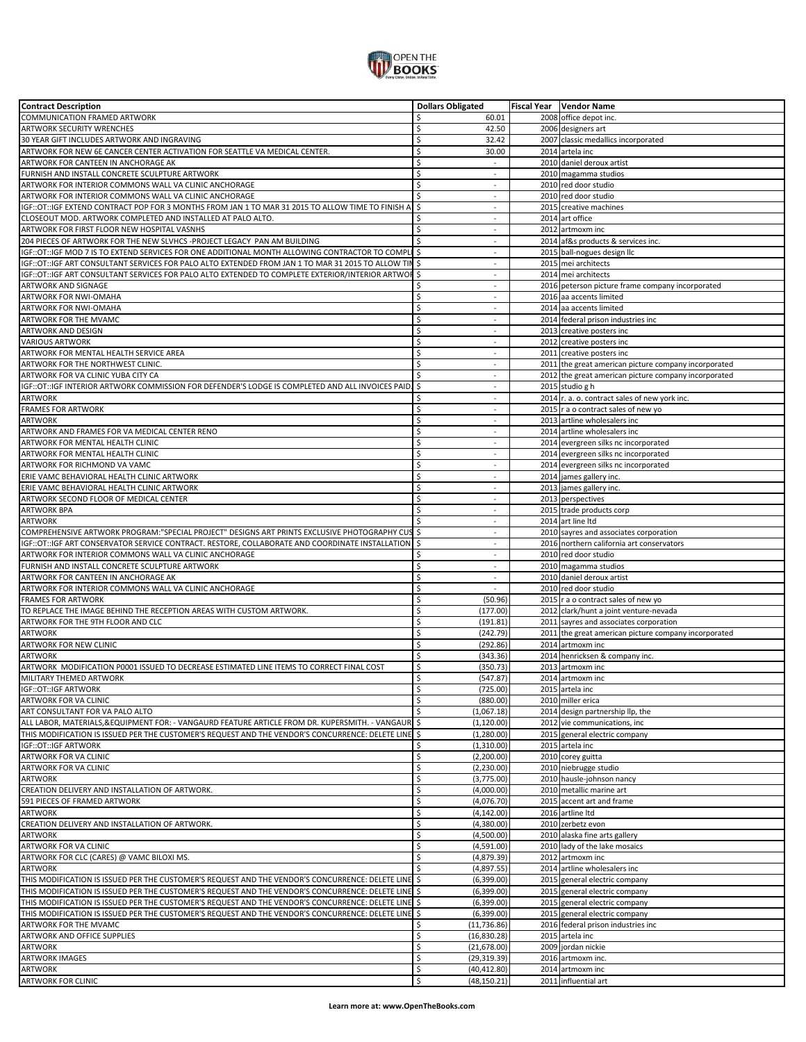

| <b>Contract Description</b>                                                                           | <b>Dollars Obligated</b>       | Fiscal Year   Vendor Name                            |
|-------------------------------------------------------------------------------------------------------|--------------------------------|------------------------------------------------------|
| <b>COMMUNICATION FRAMED ARTWORK</b>                                                                   | Ś<br>60.01                     | 2008 office depot inc.                               |
| <b>ARTWORK SECURITY WRENCHES</b>                                                                      | \$<br>42.50                    | 2006 designers art                                   |
| 30 YEAR GIFT INCLUDES ARTWORK AND INGRAVING                                                           | \$<br>32.42                    | 2007 classic medallics incorporated                  |
| ARTWORK FOR NEW 6E CANCER CENTER ACTIVATION FOR SEATTLE VA MEDICAL CENTER.                            | \$                             |                                                      |
|                                                                                                       | 30.00                          | 2014 artela inc                                      |
| ARTWORK FOR CANTEEN IN ANCHORAGE AK                                                                   | \$<br>$\overline{\phantom{a}}$ | 2010 daniel deroux artist                            |
| FURNISH AND INSTALL CONCRETE SCULPTURE ARTWORK                                                        | \$<br>$\overline{\phantom{a}}$ | 2010 magamma studios                                 |
| ARTWORK FOR INTERIOR COMMONS WALL VA CLINIC ANCHORAGE                                                 | Ś<br>$\overline{\phantom{a}}$  | 2010 red door studio                                 |
| ARTWORK FOR INTERIOR COMMONS WALL VA CLINIC ANCHORAGE                                                 | Ś                              | 2010 red door studio                                 |
| IGF::OT::IGF EXTEND CONTRACT POP FOR 3 MONTHS FROM JAN 1 TO MAR 31 2015 TO ALLOW TIME TO FINISH A     | \$<br>$\blacksquare$           | 2015 creative machines                               |
| CLOSEOUT MOD. ARTWORK COMPLETED AND INSTALLED AT PALO ALTO.                                           | \$<br>$\omega$                 | 2014 art office                                      |
|                                                                                                       |                                |                                                      |
| ARTWORK FOR FIRST FLOOR NEW HOSPITAL VASNHS                                                           | \$<br>$\blacksquare$           | 2012 artmoxm inc                                     |
| 204 PIECES OF ARTWORK FOR THE NEW SLVHCS -PROJECT LEGACY PAN AM BUILDING                              | Ś<br>$\blacksquare$            | 2014 af&s products & services inc.                   |
| IGF::OT::IGF MOD 7 IS TO EXTEND SERVICES FOR ONE ADDITIONAL MONTH ALLOWING CONTRACTOR TO COMPL        | \$<br>$\overline{\phantom{a}}$ | 2015 ball-nogues design IIc                          |
| IGF::OT::IGF ART CONSULTANT SERVICES FOR PALO ALTO EXTENDED FROM JAN 1 TO MAR 31 2015 TO ALLOW TIN \$ | $\blacksquare$                 | 2015 mei architects                                  |
| IGF::OT::IGF ART CONSULTANT SERVICES FOR PALO ALTO EXTENDED TO COMPLETE EXTERIOR/INTERIOR ARTWOF      | \$<br>$\sim$                   | 2014 mei architects                                  |
| ARTWORK AND SIGNAGE                                                                                   | Ś<br>$\omega$                  | 2016 peterson picture frame company incorporated     |
|                                                                                                       |                                |                                                      |
| ARTWORK FOR NWI-OMAHA                                                                                 | \$<br>$\blacksquare$           | 2016 aa accents limited                              |
| ARTWORK FOR NWI-OMAHA                                                                                 | \$<br>$\blacksquare$           | 2014 aa accents limited                              |
| ARTWORK FOR THE MVAMC                                                                                 | \$<br>$\bar{a}$                | 2014 federal prison industries inc                   |
| ARTWORK AND DESIGN                                                                                    | Ś                              | 2013 creative posters inc                            |
| <b>VARIOUS ARTWORK</b>                                                                                | Ś<br>$\omega$                  | 2012 creative posters inc                            |
| ARTWORK FOR MENTAL HEALTH SERVICE AREA                                                                | Ś<br>$\omega$                  | 2011 creative posters inc                            |
|                                                                                                       |                                |                                                      |
| ARTWORK FOR THE NORTHWEST CLINIC.                                                                     | Ś<br>$\omega$                  | 2011 the great american picture company incorporated |
| ARTWORK FOR VA CLINIC YUBA CITY CA                                                                    | \$<br>$\sim$                   | 2012 the great american picture company incorporated |
| IGF::OT::IGF INTERIOR ARTWORK COMMISSION FOR DEFENDER'S LODGE IS COMPLETED AND ALL INVOICES PAID.     | \$<br>$\bar{a}$                | 2015 studio g h                                      |
| <b>ARTWORK</b>                                                                                        | \$<br>$\blacksquare$           | 2014 r. a. o. contract sales of new york inc.        |
| <b>FRAMES FOR ARTWORK</b>                                                                             | \$<br>$\sim$                   | 2015 r a o contract sales of new yo                  |
| ARTWORK                                                                                               | \$<br>$\blacksquare$           | 2013 artline wholesalers inc                         |
|                                                                                                       |                                |                                                      |
| ARTWORK AND FRAMES FOR VA MEDICAL CENTER RENO                                                         | Ś<br>$\omega$                  | 2014 artline wholesalers inc                         |
| ARTWORK FOR MENTAL HEALTH CLINIC                                                                      | \$<br>$\overline{\phantom{a}}$ | 2014 evergreen silks nc incorporated                 |
| ARTWORK FOR MENTAL HEALTH CLINIC                                                                      | \$<br>$\omega$                 | 2014 evergreen silks nc incorporated                 |
| ARTWORK FOR RICHMOND VA VAMC                                                                          | \$<br>$\overline{\phantom{a}}$ | 2014 evergreen silks nc incorporated                 |
| ERIE VAMC BEHAVIORAL HEALTH CLINIC ARTWORK                                                            | Ś<br>$\blacksquare$            | 2014 james gallery inc.                              |
|                                                                                                       | Ś<br>÷                         |                                                      |
| ERIE VAMC BEHAVIORAL HEALTH CLINIC ARTWORK                                                            |                                | 2013 james gallery inc.                              |
| ARTWORK SECOND FLOOR OF MEDICAL CENTER                                                                | Ś<br>$\sim$                    | 2013 perspectives                                    |
| <b>ARTWORK BPA</b>                                                                                    | Ś<br>$\blacksquare$            | 2015 trade products corp                             |
| <b>ARTWORK</b>                                                                                        | Ś<br>$\overline{\phantom{a}}$  | 2014 art line Itd                                    |
| COMPREHENSIVE ARTWORK PROGRAM:"SPECIAL PROJECT" DESIGNS ART PRINTS EXCLUSIVE PHOTOGRAPHY CUS \$       | $\blacksquare$                 | 2010 sayres and associates corporation               |
| IGF::OT::IGF ART CONSERVATOR SERVICE CONTRACT. RESTORE, COLLABORATE AND COORDINATE INSTALLATION       | \$                             | 2016 northern california art conservators            |
| ARTWORK FOR INTERIOR COMMONS WALL VA CLINIC ANCHORAGE                                                 | \$<br>$\blacksquare$           | 2010 red door studio                                 |
|                                                                                                       |                                |                                                      |
| FURNISH AND INSTALL CONCRETE SCULPTURE ARTWORK                                                        | \$<br>$\omega$                 | 2010 magamma studios                                 |
| ARTWORK FOR CANTEEN IN ANCHORAGE AK                                                                   | Ś<br>$\omega$                  | 2010 daniel deroux artist                            |
| ARTWORK FOR INTERIOR COMMONS WALL VA CLINIC ANCHORAGE                                                 | \$<br>$\bar{a}$                | 2010 red door studio                                 |
| <b>FRAMES FOR ARTWORK</b>                                                                             | \$<br>(50.96)                  | 2015 r a o contract sales of new yo                  |
| TO REPLACE THE IMAGE BEHIND THE RECEPTION AREAS WITH CUSTOM ARTWORK.                                  | Ś<br>(177.00)                  | 2012 clark/hunt a joint venture-nevada               |
| ARTWORK FOR THE 9TH FLOOR AND CLC                                                                     | \$<br>(191.81)                 | 2011 sayres and associates corporation               |
|                                                                                                       |                                |                                                      |
| ARTWORK                                                                                               | Ś<br>(242.79)                  | 2011 the great american picture company incorporated |
| ARTWORK FOR NEW CLINIC                                                                                | \$<br>(292.86)                 | 2014 artmoxm inc                                     |
| <b>ARTWORK</b>                                                                                        | Ś<br>(343.36)                  | 2014 henricksen & company inc.                       |
| ARTWORK MODIFICATION P0001 ISSUED TO DECREASE ESTIMATED LINE ITEMS TO CORRECT FINAL COST              | \$<br>(350.73)                 | 2013 artmoxm inc                                     |
| MILITARY THEMED ARTWORK                                                                               | Ś<br>(547.87)                  | 2014 artmoxm inc                                     |
| <b>IGF::OT::IGF ARTWORK</b>                                                                           | \$<br>(725.00)                 | 2015 artela inc                                      |
|                                                                                                       |                                |                                                      |
| ARTWORK FOR VA CLINIC                                                                                 | \$<br>(880.00)                 | 2010 miller erica                                    |
| ART CONSULTANT FOR VA PALO ALTO                                                                       | Ś.<br>(1,067.18)               | 2014 design partnership llp, the                     |
| ALL LABOR, MATERIALS, & EQUIPMENT FOR: - VANGAURD FEATURE ARTICLE FROM DR. KUPERSMITH. - VANGAUR   \$ | (1, 120.00)                    | 2012 vie communications, inc                         |
| THIS MODIFICATION IS ISSUED PER THE CUSTOMER'S REQUEST AND THE VENDOR'S CONCURRENCE: DELETE LINE \$   | (1,280.00)                     | 2015 general electric company                        |
| IGF:: OT:: IGF ARTWORK                                                                                | \$<br>(1,310.00)               | 2015 artela inc                                      |
| ARTWORK FOR VA CLINIC                                                                                 | \$<br>(2,200.00)               | 2010 corey guitta                                    |
|                                                                                                       |                                |                                                      |
| <b>ARTWORK FOR VA CLINIC</b>                                                                          | \$<br>(2, 230.00)              | 2010 niebrugge studio                                |
| <b>ARTWORK</b>                                                                                        | \$<br>(3,775.00)               | 2010 hausle-johnson nancy                            |
| CREATION DELIVERY AND INSTALLATION OF ARTWORK.                                                        | \$<br>(4,000.00)               | 2010 metallic marine art                             |
| 591 PIECES OF FRAMED ARTWORK                                                                          | \$<br>(4,076.70)               | 2015 accent art and frame                            |
| ARTWORK                                                                                               | \$<br>(4, 142.00)              | 2016 artline Itd                                     |
| CREATION DELIVERY AND INSTALLATION OF ARTWORK.                                                        | Ś<br>(4,380.00)                | 2010 zerbetz evon                                    |
|                                                                                                       |                                |                                                      |
| <b>ARTWORK</b>                                                                                        | \$<br>(4,500.00)               | 2010 alaska fine arts gallery                        |
| ARTWORK FOR VA CLINIC                                                                                 | \$<br>(4,591.00)               | 2010 lady of the lake mosaics                        |
| ARTWORK FOR CLC (CARES) @ VAMC BILOXI MS.                                                             | \$<br>(4,879.39)               | 2012 artmoxm inc                                     |
| <b>ARTWORK</b>                                                                                        | \$<br>(4,897.55)               | 2014 artline wholesalers inc                         |
| THIS MODIFICATION IS ISSUED PER THE CUSTOMER'S REQUEST AND THE VENDOR'S CONCURRENCE: DELETE LINE      | \$<br>(6, 399.00)              | 2015 general electric company                        |
| THIS MODIFICATION IS ISSUED PER THE CUSTOMER'S REQUEST AND THE VENDOR'S CONCURRENCE: DELETE LINE \$   |                                |                                                      |
|                                                                                                       | (6, 399.00)                    | 2015 general electric company                        |
| THIS MODIFICATION IS ISSUED PER THE CUSTOMER'S REQUEST AND THE VENDOR'S CONCURRENCE: DELETE LINE      | \$<br>(6, 399.00)              | 2015 general electric company                        |
| THIS MODIFICATION IS ISSUED PER THE CUSTOMER'S REQUEST AND THE VENDOR'S CONCURRENCE: DELETE LINE      | \$<br>(6, 399.00)              | 2015 general electric company                        |
| ARTWORK FOR THE MVAMC                                                                                 | \$<br>(11, 736.86)             | 2016 federal prison industries inc                   |
| ARTWORK AND OFFICE SUPPLIES                                                                           | \$<br>(16, 830.28)             | 2015 artela inc                                      |
| ARTWORK                                                                                               | \$<br>(21, 678.00)             | 2009 jordan nickie                                   |
| <b>ARTWORK IMAGES</b>                                                                                 | \$                             | 2016 artmoxm inc.                                    |
|                                                                                                       | (29, 319.39)                   |                                                      |
| <b>ARTWORK</b>                                                                                        | \$<br>(40, 412.80)             | 2014 artmoxm inc                                     |
| <b>ARTWORK FOR CLINIC</b>                                                                             | Ś<br>(48, 150.21)              | 2011 influential art                                 |
|                                                                                                       |                                |                                                      |